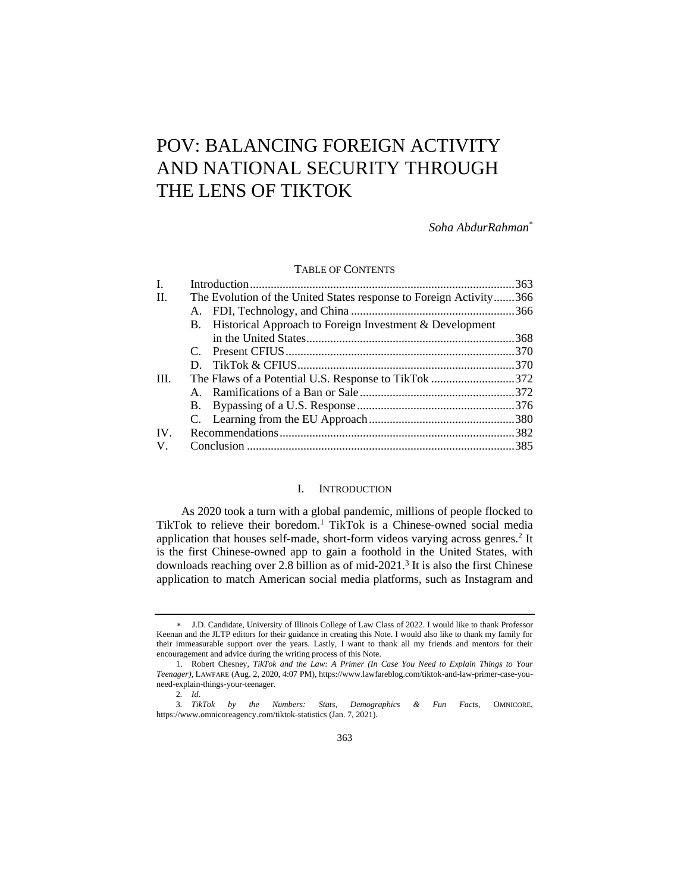# POV: BALANCING FOREIGN ACTIVITY AND NATIONAL SECURITY THROUGH THE LENS OF TIKTOK

*Soha AbdurRahman*\*

#### TABLE OF CONTENTS

| The Evolution of the United States response to Foreign Activity366 |
|--------------------------------------------------------------------|
|                                                                    |
|                                                                    |
|                                                                    |
|                                                                    |
|                                                                    |
|                                                                    |
| The Flaws of a Potential U.S. Response to TikTok 372               |
|                                                                    |
|                                                                    |
|                                                                    |
|                                                                    |
|                                                                    |
|                                                                    |

# I. INTRODUCTION

As 2020 took a turn with a global pandemic, millions of people flocked to TikTok to relieve their boredom.<sup>1</sup> TikTok is a Chinese-owned social media application that houses self-made, short-form videos varying across genres.<sup>2</sup> It is the first Chinese-owned app to gain a foothold in the United States, with downloads reaching over 2.8 billion as of mid-2021.<sup>3</sup> It is also the first Chinese application to match American social media platforms, such as Instagram and

J.D. Candidate, University of Illinois College of Law Class of 2022. I would like to thank Professor Keenan and the JLTP editors for their guidance in creating this Note. I would also like to thank my family for their immeasurable support over the years. Lastly, I want to thank all my friends and mentors for their encouragement and advice during the writing process of this Note.

<sup>1.</sup> Robert Chesney, *TikTok and the Law: A Primer (In Case You Need to Explain Things to Your Teenager)*, LAWFARE (Aug. 2, 2020, 4:07 PM), https://www.lawfareblog.com/tiktok-and-law-primer-case-youneed-explain-things-your-teenager.

<sup>2</sup>*. Id*.

<sup>3</sup>*. TikTok by the Numbers: Stats, Demographics & Fun Facts*, OMNICORE, https://www.omnicoreagency.com/tiktok-statistics (Jan. 7, 2021).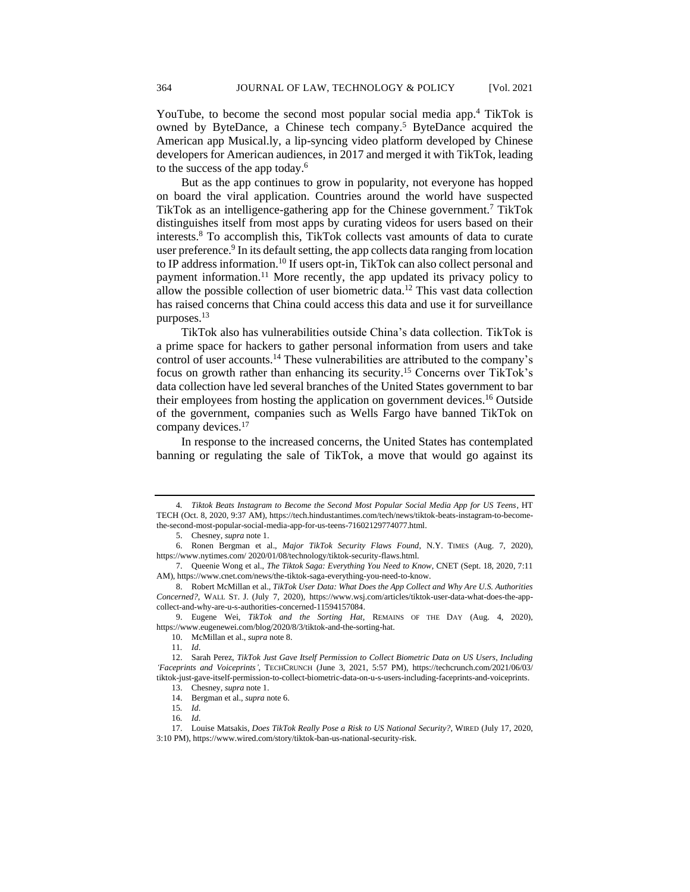YouTube, to become the second most popular social media app.<sup>4</sup> TikTok is owned by ByteDance, a Chinese tech company.<sup>5</sup> ByteDance acquired the American app Musical.ly, a lip-syncing video platform developed by Chinese developers for American audiences, in 2017 and merged it with TikTok, leading to the success of the app today.<sup>6</sup>

But as the app continues to grow in popularity, not everyone has hopped on board the viral application. Countries around the world have suspected TikTok as an intelligence-gathering app for the Chinese government.<sup>7</sup> TikTok distinguishes itself from most apps by curating videos for users based on their interests.<sup>8</sup> To accomplish this, TikTok collects vast amounts of data to curate user preference.<sup>9</sup> In its default setting, the app collects data ranging from location to IP address information.<sup>10</sup> If users opt-in, TikTok can also collect personal and payment information.<sup>11</sup> More recently, the app updated its privacy policy to allow the possible collection of user biometric data.<sup>12</sup> This vast data collection has raised concerns that China could access this data and use it for surveillance purposes.<sup>13</sup>

TikTok also has vulnerabilities outside China's data collection. TikTok is a prime space for hackers to gather personal information from users and take control of user accounts.<sup>14</sup> These vulnerabilities are attributed to the company's focus on growth rather than enhancing its security. <sup>15</sup> Concerns over TikTok's data collection have led several branches of the United States government to bar their employees from hosting the application on government devices.<sup>16</sup> Outside of the government, companies such as Wells Fargo have banned TikTok on company devices.<sup>17</sup>

In response to the increased concerns, the United States has contemplated banning or regulating the sale of TikTok, a move that would go against its

<sup>4</sup>*. Tiktok Beats Instagram to Become the Second Most Popular Social Media App for US Teens*, HT TECH (Oct. 8, 2020, 9:37 AM), https://tech.hindustantimes.com/tech/news/tiktok-beats-instagram-to-becomethe-second-most-popular-social-media-app-for-us-teens-71602129774077.html.

<sup>5.</sup> Chesney, *supra* note 1.

<sup>6.</sup> Ronen Bergman et al., *Major TikTok Security Flaws Found*, N.Y. TIMES (Aug. 7, 2020), https://www.nytimes.com/ 2020/01/08/technology/tiktok-security-flaws.html.

<sup>7.</sup> Queenie Wong et al., *The Tiktok Saga: Everything You Need to Know*, CNET (Sept. 18, 2020, 7:11 AM), https://www.cnet.com/news/the-tiktok-saga-everything-you-need-to-know.

<sup>8.</sup> Robert McMillan et al., *TikTok User Data: What Does the App Collect and Why Are U.S. Authorities Concerned?*, WALL ST. J. (July 7, 2020), https://www.wsj.com/articles/tiktok-user-data-what-does-the-appcollect-and-why-are-u-s-authorities-concerned-11594157084.

<sup>9.</sup> Eugene Wei, *TikTok and the Sorting Hat*, REMAINS OF THE DAY (Aug. 4, 2020), https://www.eugenewei.com/blog/2020/8/3/tiktok-and-the-sorting-hat.

<sup>10.</sup> McMillan et al., *supra* note 8.

<sup>11</sup>*. Id*.

<sup>12.</sup> Sarah Perez, *TikTok Just Gave Itself Permission to Collect Biometric Data on US Users, Including 'Faceprints and Voiceprints'*, TECHCRUNCH (June 3, 2021, 5:57 PM), https://techcrunch.com/2021/06/03/ tiktok-just-gave-itself-permission-to-collect-biometric-data-on-u-s-users-including-faceprints-and-voiceprints.

<sup>13.</sup> Chesney, *supra* note 1.

<sup>14.</sup> Bergman et al., *supra* note 6.

<sup>15</sup>*. Id*. 16*. Id*.

<sup>17.</sup> Louise Matsakis, *Does TikTok Really Pose a Risk to US National Security?*, WIRED (July 17, 2020, 3:10 PM), https://www.wired.com/story/tiktok-ban-us-national-security-risk.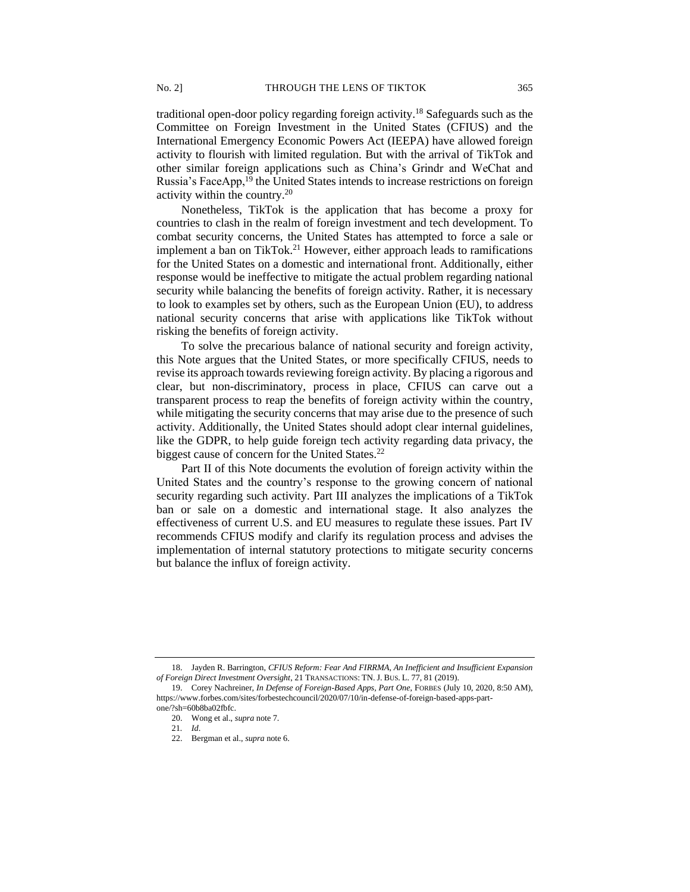traditional open-door policy regarding foreign activity.<sup>18</sup> Safeguards such as the Committee on Foreign Investment in the United States (CFIUS) and the International Emergency Economic Powers Act (IEEPA) have allowed foreign activity to flourish with limited regulation. But with the arrival of TikTok and other similar foreign applications such as China's Grindr and WeChat and Russia's FaceApp,<sup>19</sup> the United States intends to increase restrictions on foreign activity within the country.<sup>20</sup>

Nonetheless, TikTok is the application that has become a proxy for countries to clash in the realm of foreign investment and tech development. To combat security concerns, the United States has attempted to force a sale or implement a ban on TikTok.<sup>21</sup> However, either approach leads to ramifications for the United States on a domestic and international front. Additionally, either response would be ineffective to mitigate the actual problem regarding national security while balancing the benefits of foreign activity. Rather, it is necessary to look to examples set by others, such as the European Union (EU), to address national security concerns that arise with applications like TikTok without risking the benefits of foreign activity.

To solve the precarious balance of national security and foreign activity, this Note argues that the United States, or more specifically CFIUS, needs to revise its approach towards reviewing foreign activity. By placing a rigorous and clear, but non-discriminatory, process in place, CFIUS can carve out a transparent process to reap the benefits of foreign activity within the country, while mitigating the security concerns that may arise due to the presence of such activity. Additionally, the United States should adopt clear internal guidelines, like the GDPR, to help guide foreign tech activity regarding data privacy, the biggest cause of concern for the United States.<sup>22</sup>

Part II of this Note documents the evolution of foreign activity within the United States and the country's response to the growing concern of national security regarding such activity. Part III analyzes the implications of a TikTok ban or sale on a domestic and international stage. It also analyzes the effectiveness of current U.S. and EU measures to regulate these issues. Part IV recommends CFIUS modify and clarify its regulation process and advises the implementation of internal statutory protections to mitigate security concerns but balance the influx of foreign activity.

<sup>18.</sup> Jayden R. Barrington, *CFIUS Reform: Fear And FIRRMA, An Inefficient and Insufficient Expansion of Foreign Direct Investment Oversight*, 21 TRANSACTIONS: TN. J. BUS. L. 77, 81 (2019).

<sup>19.</sup> Corey Nachreiner*, In Defense of Foreign-Based Apps, Part One*, FORBES (July 10, 2020, 8:50 AM), https://www.forbes.com/sites/forbestechcouncil/2020/07/10/in-defense-of-foreign-based-apps-partone/?sh=60b8ba02fbfc.

<sup>20.</sup> Wong et al., *supra* note 7.

<sup>21</sup>*. Id*.

<sup>22.</sup> Bergman et al., *supra* note 6.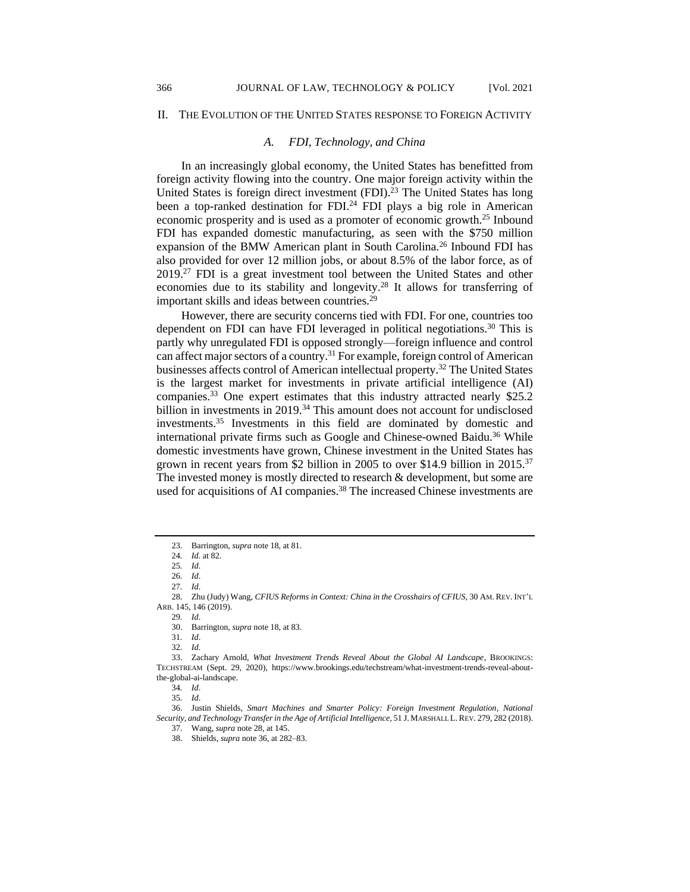#### II. THE EVOLUTION OF THE UNITED STATES RESPONSE TO FOREIGN ACTIVITY

# *A. FDI, Technology, and China*

In an increasingly global economy, the United States has benefitted from foreign activity flowing into the country. One major foreign activity within the United States is foreign direct investment  $(FDI)$ .<sup>23</sup> The United States has long been a top-ranked destination for FDI.<sup>24</sup> FDI plays a big role in American economic prosperity and is used as a promoter of economic growth.<sup>25</sup> Inbound FDI has expanded domestic manufacturing, as seen with the \$750 million expansion of the BMW American plant in South Carolina.<sup>26</sup> Inbound FDI has also provided for over 12 million jobs, or about 8.5% of the labor force, as of 2019.<sup>27</sup> FDI is a great investment tool between the United States and other economies due to its stability and longevity.<sup>28</sup> It allows for transferring of important skills and ideas between countries.<sup>29</sup>

However, there are security concerns tied with FDI. For one, countries too dependent on FDI can have FDI leveraged in political negotiations.<sup>30</sup> This is partly why unregulated FDI is opposed strongly—foreign influence and control can affect major sectors of a country.<sup>31</sup> For example, foreign control of American businesses affects control of American intellectual property.<sup>32</sup> The United States is the largest market for investments in private artificial intelligence (AI) companies.<sup>33</sup> One expert estimates that this industry attracted nearly \$25.2 billion in investments in 2019.<sup>34</sup> This amount does not account for undisclosed investments.<sup>35</sup> Investments in this field are dominated by domestic and international private firms such as Google and Chinese-owned Baidu.<sup>36</sup> While domestic investments have grown, Chinese investment in the United States has grown in recent years from \$2 billion in 2005 to over \$14.9 billion in 2015.<sup>37</sup> The invested money is mostly directed to research & development, but some are used for acquisitions of AI companies.<sup>38</sup> The increased Chinese investments are

29*. Id*.

<sup>23.</sup> Barrington, *supra* note 18, at 81.

<sup>24</sup>*. Id.* at 82.

<sup>25</sup>*. Id*.

<sup>26</sup>*. Id*.

<sup>27</sup>*. Id*.

<sup>28.</sup> Zhu (Judy) Wang, *CFIUS Reforms in Context: China in the Crosshairs of CFIUS*, 30 AM. REV. INT'L ARB. 145, 146 (2019).

<sup>30.</sup> Barrington, *supra* note 18, at 83.

<sup>31</sup>*. Id*.

<sup>32</sup>*. Id*.

<sup>33.</sup> Zachary Arnold, *What Investment Trends Reveal About the Global AI Landscape*, BROOKINGS: TECHSTREAM (Sept. 29, 2020), https://www.brookings.edu/techstream/what-investment-trends-reveal-aboutthe-global-ai-landscape.

<sup>34</sup>*. Id*.

<sup>35</sup>*. Id*.

<sup>36.</sup> Justin Shields, *Smart Machines and Smarter Policy: Foreign Investment Regulation, National Security, and Technology Transfer in the Age of Artificial Intelligence*, 51 J.MARSHALL L.REV. 279, 282 (2018).

<sup>37.</sup> Wang, *supra* note 28, at 145.

<sup>38.</sup> Shields, *supra* note 36, at 282–83.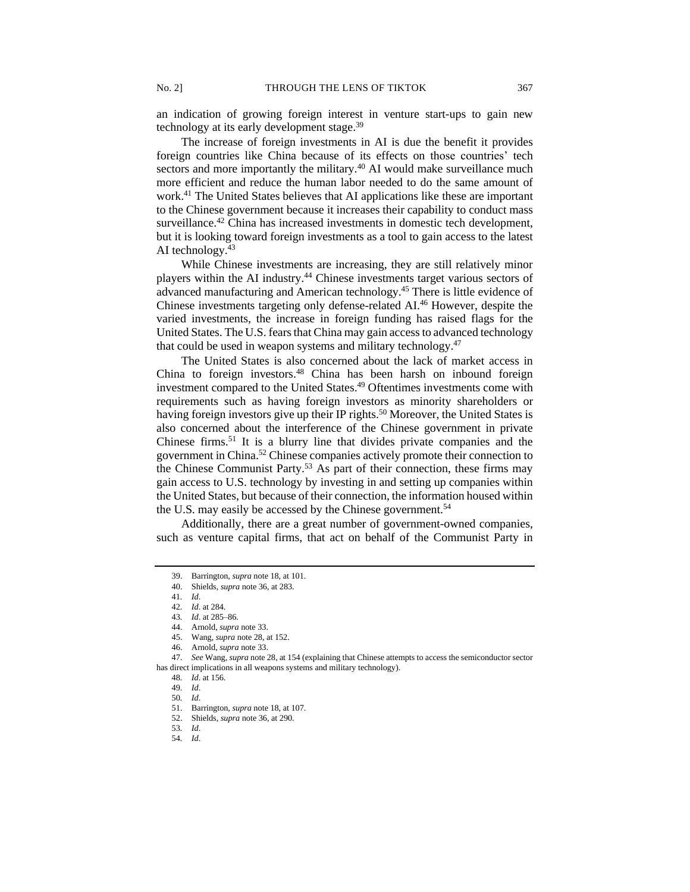an indication of growing foreign interest in venture start-ups to gain new technology at its early development stage.<sup>39</sup>

The increase of foreign investments in AI is due the benefit it provides foreign countries like China because of its effects on those countries' tech sectors and more importantly the military.<sup>40</sup> AI would make surveillance much more efficient and reduce the human labor needed to do the same amount of work.<sup>41</sup> The United States believes that AI applications like these are important to the Chinese government because it increases their capability to conduct mass surveillance.<sup>42</sup> China has increased investments in domestic tech development, but it is looking toward foreign investments as a tool to gain access to the latest AI technology.<sup>43</sup>

While Chinese investments are increasing, they are still relatively minor players within the AI industry.<sup>44</sup> Chinese investments target various sectors of advanced manufacturing and American technology.<sup>45</sup> There is little evidence of Chinese investments targeting only defense-related AI.<sup>46</sup> However, despite the varied investments, the increase in foreign funding has raised flags for the United States. The U.S. fears that China may gain access to advanced technology that could be used in weapon systems and military technology.<sup>47</sup>

The United States is also concerned about the lack of market access in China to foreign investors.<sup>48</sup> China has been harsh on inbound foreign investment compared to the United States.<sup>49</sup> Oftentimes investments come with requirements such as having foreign investors as minority shareholders or having foreign investors give up their IP rights.<sup>50</sup> Moreover, the United States is also concerned about the interference of the Chinese government in private Chinese firms.<sup>51</sup> It is a blurry line that divides private companies and the government in China.<sup>52</sup> Chinese companies actively promote their connection to the Chinese Communist Party.<sup>53</sup> As part of their connection, these firms may gain access to U.S. technology by investing in and setting up companies within the United States, but because of their connection, the information housed within the U.S. may easily be accessed by the Chinese government.<sup>54</sup>

Additionally, there are a great number of government-owned companies, such as venture capital firms, that act on behalf of the Communist Party in

<sup>39.</sup> Barrington, *supra* note 18, at 101.

<sup>40.</sup> Shields, *supra* note 36, at 283.

<sup>41</sup>*. Id*.

<sup>42</sup>*. Id*. at 284. 43*. Id*. at 285–86.

<sup>44.</sup> Arnold, *supra* note 33.

<sup>45.</sup> Wang, *supra* note 28, at 152.

<sup>46.</sup> Arnold, *supra* note 33.

<sup>47.</sup> *See* Wang, *supra* note 28, at 154 (explaining that Chinese attempts to access the semiconductor sector has direct implications in all weapons systems and military technology).

<sup>48</sup>*. Id*. at 156.

<sup>49</sup>*. Id*.

<sup>50</sup>*. Id*.

<sup>51.</sup> Barrington, *supra* note 18, at 107.

<sup>52.</sup> Shields, *supra* note 36, at 290.

<sup>53</sup>*. Id*.

<sup>54</sup>*. Id*.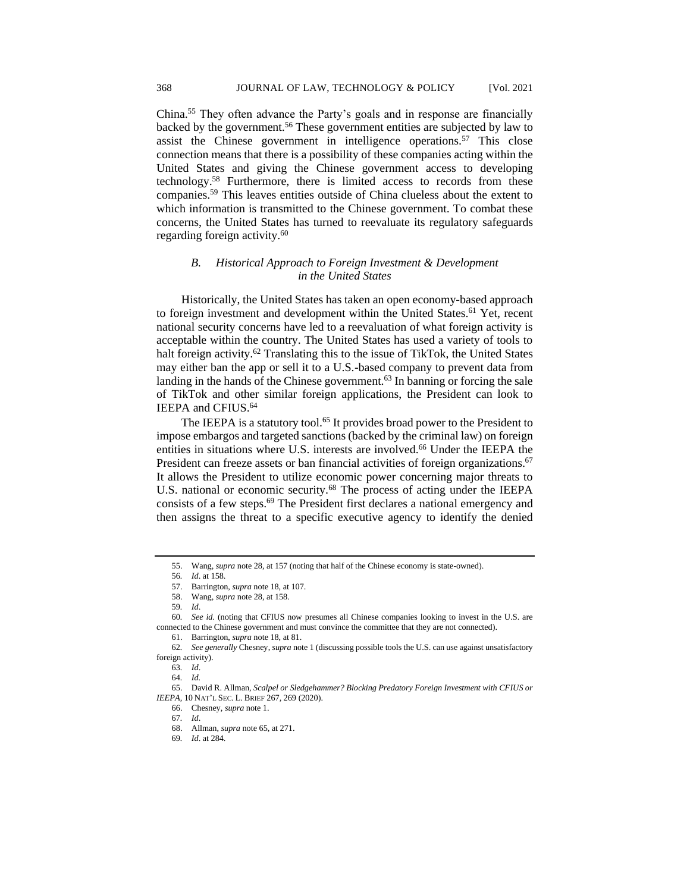China.<sup>55</sup> They often advance the Party's goals and in response are financially backed by the government.<sup>56</sup> These government entities are subjected by law to assist the Chinese government in intelligence operations.<sup>57</sup> This close connection means that there is a possibility of these companies acting within the United States and giving the Chinese government access to developing technology.<sup>58</sup> Furthermore, there is limited access to records from these companies.<sup>59</sup> This leaves entities outside of China clueless about the extent to which information is transmitted to the Chinese government. To combat these concerns, the United States has turned to reevaluate its regulatory safeguards regarding foreign activity.<sup>60</sup>

# *B. Historical Approach to Foreign Investment & Development in the United States*

Historically, the United States has taken an open economy-based approach to foreign investment and development within the United States.<sup>61</sup> Yet, recent national security concerns have led to a reevaluation of what foreign activity is acceptable within the country. The United States has used a variety of tools to halt foreign activity.<sup>62</sup> Translating this to the issue of TikTok, the United States may either ban the app or sell it to a U.S.-based company to prevent data from landing in the hands of the Chinese government.<sup>63</sup> In banning or forcing the sale of TikTok and other similar foreign applications, the President can look to IEEPA and CFIUS.<sup>64</sup>

The IEEPA is a statutory tool.<sup>65</sup> It provides broad power to the President to impose embargos and targeted sanctions (backed by the criminal law) on foreign entities in situations where U.S. interests are involved.<sup>66</sup> Under the IEEPA the President can freeze assets or ban financial activities of foreign organizations.<sup>67</sup> It allows the President to utilize economic power concerning major threats to U.S. national or economic security.<sup>68</sup> The process of acting under the IEEPA consists of a few steps.<sup>69</sup> The President first declares a national emergency and then assigns the threat to a specific executive agency to identify the denied

<sup>55.</sup> Wang, *supra* note 28, at 157 (noting that half of the Chinese economy is state-owned).

<sup>56</sup>*. Id*. at 158.

<sup>57.</sup> Barrington, *supra* note 18, at 107.

<sup>58.</sup> Wang, *supra* note 28, at 158.

<sup>59</sup>*. Id*.

<sup>60</sup>*. See id.* (noting that CFIUS now presumes all Chinese companies looking to invest in the U.S. are connected to the Chinese government and must convince the committee that they are not connected).

<sup>61.</sup> Barrington, *supra* note 18, at 81.

<sup>62</sup>*. See generally* Chesney, *supra* note 1 (discussing possible tools the U.S. can use against unsatisfactory foreign activity).

<sup>63</sup>*. Id*.

<sup>64</sup>*. Id.*

<sup>65.</sup> David R. Allman, *Scalpel or Sledgehammer? Blocking Predatory Foreign Investment with CFIUS or IEEPA*, 10 NAT'L SEC. L. BRIEF 267, 269 (2020).

<sup>66.</sup> Chesney, *supra* note 1.

<sup>67</sup>*. Id*.

<sup>68.</sup> Allman, *supra* note 65, at 271.

<sup>69</sup>*. Id*. at 284.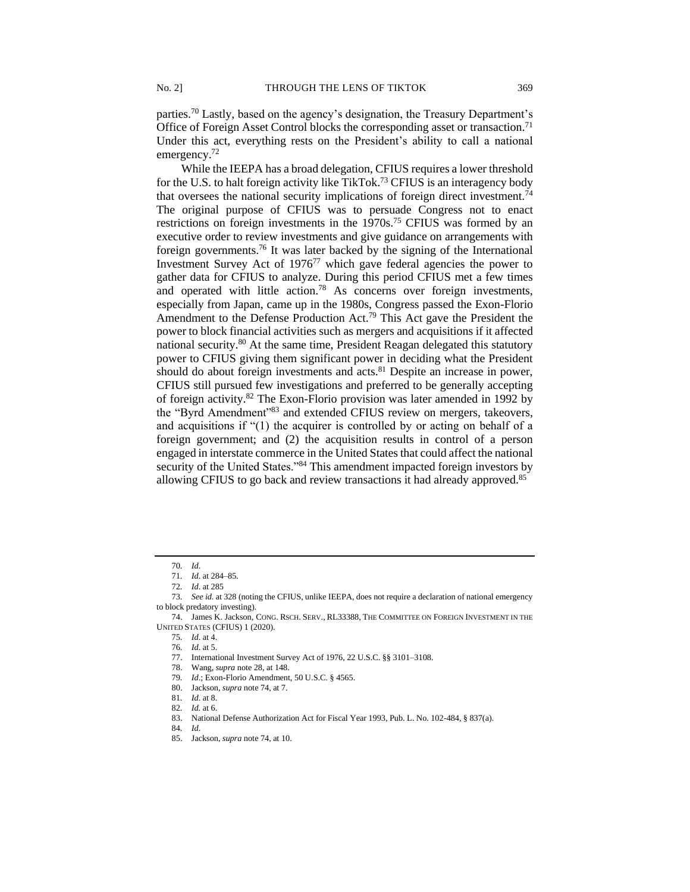parties.<sup>70</sup> Lastly, based on the agency's designation, the Treasury Department's Office of Foreign Asset Control blocks the corresponding asset or transaction.<sup>71</sup> Under this act, everything rests on the President's ability to call a national emergency.<sup>72</sup>

While the IEEPA has a broad delegation, CFIUS requires a lower threshold for the U.S. to halt foreign activity like TikTok.<sup>73</sup> CFIUS is an interagency body that oversees the national security implications of foreign direct investment.<sup>74</sup> The original purpose of CFIUS was to persuade Congress not to enact restrictions on foreign investments in the 1970s.<sup>75</sup> CFIUS was formed by an executive order to review investments and give guidance on arrangements with foreign governments.<sup>76</sup> It was later backed by the signing of the International Investment Survey Act of  $1976^{77}$  which gave federal agencies the power to gather data for CFIUS to analyze. During this period CFIUS met a few times and operated with little action.<sup>78</sup> As concerns over foreign investments, especially from Japan, came up in the 1980s, Congress passed the Exon-Florio Amendment to the Defense Production Act.<sup>79</sup> This Act gave the President the power to block financial activities such as mergers and acquisitions if it affected national security.<sup>80</sup> At the same time, President Reagan delegated this statutory power to CFIUS giving them significant power in deciding what the President should do about foreign investments and acts.<sup>81</sup> Despite an increase in power, CFIUS still pursued few investigations and preferred to be generally accepting of foreign activity.<sup>82</sup> The Exon-Florio provision was later amended in 1992 by the "Byrd Amendment"<sup>83</sup> and extended CFIUS review on mergers, takeovers, and acquisitions if "(1) the acquirer is controlled by or acting on behalf of a foreign government; and (2) the acquisition results in control of a person engaged in interstate commerce in the United States that could affect the national security of the United States."<sup>84</sup> This amendment impacted foreign investors by allowing CFIUS to go back and review transactions it had already approved.<sup>85</sup>

80. Jackson, *supra* note 74, at 7.

84*. Id*.

<sup>70</sup>*. Id*.

<sup>71</sup>*. Id*. at 284–85.

<sup>72</sup>*. Id*. at 285

<sup>73</sup>*. See id.* at 328 (noting the CFIUS, unlike IEEPA, does not require a declaration of national emergency to block predatory investing).

<sup>74.</sup> James K. Jackson, CONG. RSCH. SERV., RL33388, THE COMMITTEE ON FOREIGN INVESTMENT IN THE UNITED STATES (CFIUS) 1 (2020).

<sup>75</sup>*. Id*. at 4.

<sup>76</sup>*. Id*. at 5.

<sup>77.</sup> International Investment Survey Act of 1976, 22 U.S.C. §§ 3101–3108.

<sup>78.</sup> Wang, *supra* note 28, at 148.

<sup>79</sup>*. Id*.; Exon-Florio Amendment, 50 U.S.C. § 4565.

<sup>81</sup>*. Id*. at 8.

<sup>82</sup>*. Id.* at 6.

<sup>83.</sup> National Defense Authorization Act for Fiscal Year 1993, Pub. L. No. 102-484, § 837(a).

<sup>85.</sup> Jackson, *supra* note 74, at 10.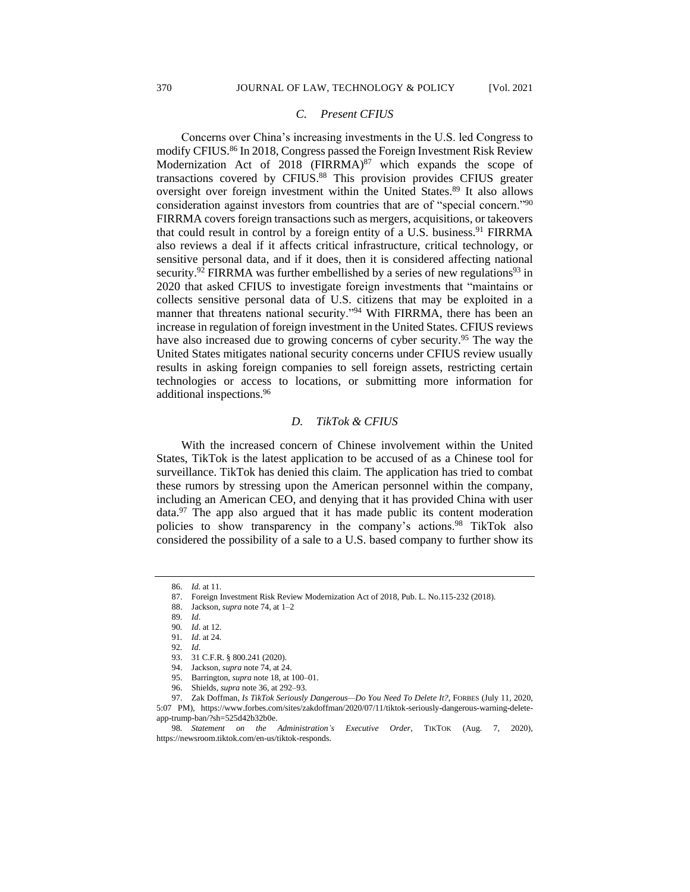# *C. Present CFIUS*

Concerns over China's increasing investments in the U.S. led Congress to modify CFIUS.<sup>86</sup> In 2018, Congress passed the Foreign Investment Risk Review Modernization Act of 2018 (FIRRMA) $87$  which expands the scope of transactions covered by CFIUS.<sup>88</sup> This provision provides CFIUS greater oversight over foreign investment within the United States.<sup>89</sup> It also allows consideration against investors from countries that are of "special concern."<sup>90</sup> FIRRMA covers foreign transactions such as mergers, acquisitions, or takeovers that could result in control by a foreign entity of a U.S. business.<sup>91</sup> FIRRMA also reviews a deal if it affects critical infrastructure, critical technology, or sensitive personal data, and if it does, then it is considered affecting national security.<sup>92</sup> FIRRMA was further embellished by a series of new regulations<sup>93</sup> in 2020 that asked CFIUS to investigate foreign investments that "maintains or collects sensitive personal data of U.S. citizens that may be exploited in a manner that threatens national security."<sup>94</sup> With FIRRMA, there has been an increase in regulation of foreign investment in the United States. CFIUS reviews have also increased due to growing concerns of cyber security.<sup>95</sup> The way the United States mitigates national security concerns under CFIUS review usually results in asking foreign companies to sell foreign assets, restricting certain technologies or access to locations, or submitting more information for additional inspections.<sup>96</sup>

#### *D. TikTok & CFIUS*

With the increased concern of Chinese involvement within the United States, TikTok is the latest application to be accused of as a Chinese tool for surveillance. TikTok has denied this claim. The application has tried to combat these rumors by stressing upon the American personnel within the company, including an American CEO, and denying that it has provided China with user data. $97$  The app also argued that it has made public its content moderation policies to show transparency in the company's actions.<sup>98</sup> TikTok also considered the possibility of a sale to a U.S. based company to further show its

<sup>86.</sup> *Id.* at 11.

<sup>87.</sup> Foreign Investment Risk Review Modernization Act of 2018, Pub. L. No.115-232 (2018).

<sup>88.</sup> Jackson, *supra* note 74, at 1–2

<sup>89</sup>*. Id*.

<sup>90</sup>*. Id*. at 12.

<sup>91</sup>*. Id*. at 24.

<sup>92</sup>*. Id*.

<sup>93.</sup> 31 C.F.R. § 800.241 (2020).

<sup>94.</sup> Jackson, *supra* note 74, at 24.

<sup>95.</sup> Barrington, *supra* note 18, at 100–01.

<sup>96.</sup> Shields, *supra* note 36, at 292–93.

<sup>97.</sup> Zak Doffman, *Is TikTok Seriously Dangerous—Do You Need To Delete It?*, FORBES (July 11, 2020,

<sup>5:07</sup> PM), https://www.forbes.com/sites/zakdoffman/2020/07/11/tiktok-seriously-dangerous-warning-deleteapp-trump-ban/?sh=525d42b32b0e.

<sup>98</sup>*. Statement on the Administration's Executive Order*, TIKTOK (Aug. 7, 2020), https://newsroom.tiktok.com/en-us/tiktok-responds.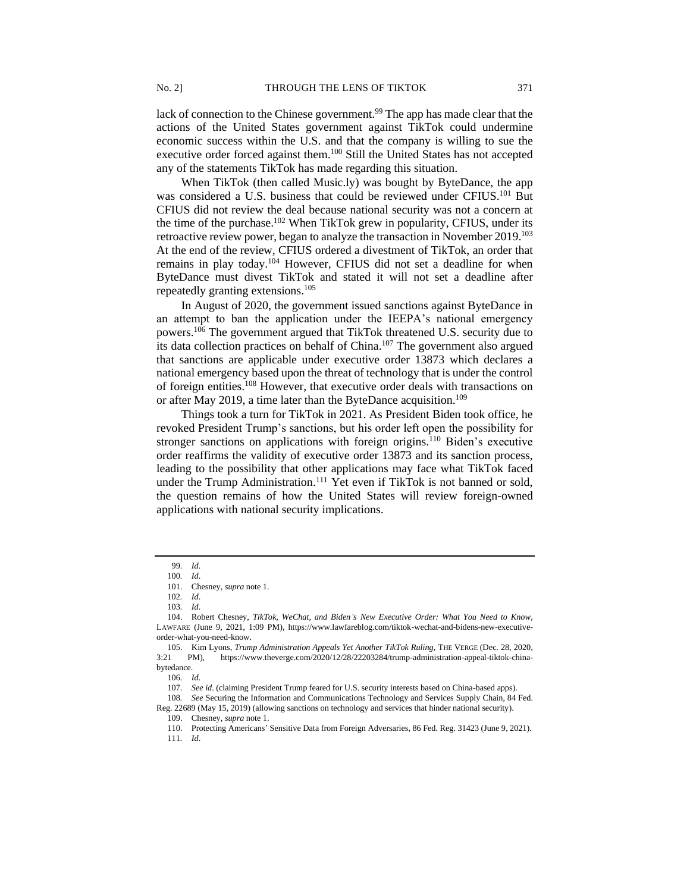lack of connection to the Chinese government.<sup>99</sup> The app has made clear that the actions of the United States government against TikTok could undermine economic success within the U.S. and that the company is willing to sue the executive order forced against them.<sup>100</sup> Still the United States has not accepted any of the statements TikTok has made regarding this situation.

When TikTok (then called Music.ly) was bought by ByteDance, the app was considered a U.S. business that could be reviewed under CFIUS.<sup>101</sup> But CFIUS did not review the deal because national security was not a concern at the time of the purchase.<sup>102</sup> When TikTok grew in popularity, CFIUS, under its retroactive review power, began to analyze the transaction in November 2019.<sup>103</sup> At the end of the review, CFIUS ordered a divestment of TikTok, an order that remains in play today.<sup>104</sup> However, CFIUS did not set a deadline for when ByteDance must divest TikTok and stated it will not set a deadline after repeatedly granting extensions.<sup>105</sup>

In August of 2020, the government issued sanctions against ByteDance in an attempt to ban the application under the IEEPA's national emergency powers.<sup>106</sup> The government argued that TikTok threatened U.S. security due to its data collection practices on behalf of China.<sup>107</sup> The government also argued that sanctions are applicable under executive order 13873 which declares a national emergency based upon the threat of technology that is under the control of foreign entities.<sup>108</sup> However, that executive order deals with transactions on or after May 2019, a time later than the ByteDance acquisition.<sup>109</sup>

Things took a turn for TikTok in 2021. As President Biden took office, he revoked President Trump's sanctions, but his order left open the possibility for stronger sanctions on applications with foreign origins.<sup>110</sup> Biden's executive order reaffirms the validity of executive order 13873 and its sanction process, leading to the possibility that other applications may face what TikTok faced under the Trump Administration. <sup>111</sup> Yet even if TikTok is not banned or sold, the question remains of how the United States will review foreign-owned applications with national security implications.

<sup>99</sup>*. Id*.

<sup>100</sup>*. Id*.

<sup>101.</sup> Chesney, *supra* note 1.

<sup>102</sup>*. Id*.

<sup>103</sup>*. Id*.

<sup>104.</sup> Robert Chesney, *TikTok, WeChat, and Biden's New Executive Order: What You Need to Know*, LAWFARE (June 9, 2021, 1:09 PM), https://www.lawfareblog.com/tiktok-wechat-and-bidens-new-executiveorder-what-you-need-know.

<sup>105.</sup> Kim Lyons, *Trump Administration Appeals Yet Another TikTok Ruling*, THE VERGE (Dec. 28, 2020, 3:21 PM), https://www.theverge.com/2020/12/28/22203284/trump-administration-appeal-tiktok-chinabytedance.

<sup>106</sup>*. Id*.

<sup>107</sup>*. See id*. (claiming President Trump feared for U.S. security interests based on China-based apps).

<sup>108</sup>*. See* Securing the Information and Communications Technology and Services Supply Chain, 84 Fed. Reg. 22689 (May 15, 2019) (allowing sanctions on technology and services that hinder national security).

<sup>109.</sup> Chesney, *supra* note 1.

<sup>110.</sup> Protecting Americans' Sensitive Data from Foreign Adversaries, 86 Fed. Reg. 31423 (June 9, 2021). 111*. Id*.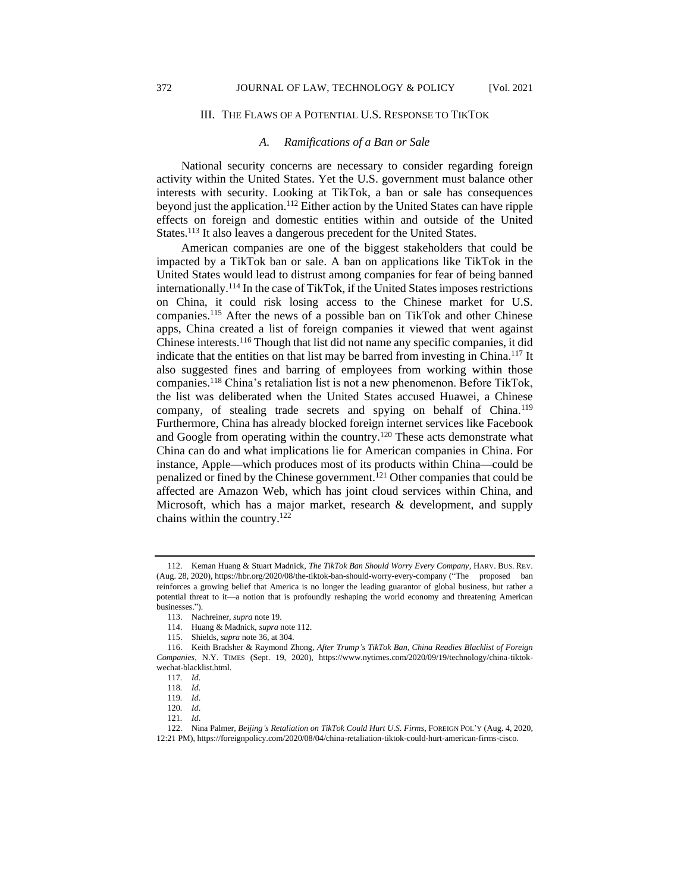#### III. THE FLAWS OF A POTENTIAL U.S. RESPONSE TO TIKTOK

#### *A. Ramifications of a Ban or Sale*

National security concerns are necessary to consider regarding foreign activity within the United States. Yet the U.S. government must balance other interests with security. Looking at TikTok, a ban or sale has consequences beyond just the application.<sup>112</sup> Either action by the United States can have ripple effects on foreign and domestic entities within and outside of the United States.<sup>113</sup> It also leaves a dangerous precedent for the United States.

American companies are one of the biggest stakeholders that could be impacted by a TikTok ban or sale. A ban on applications like TikTok in the United States would lead to distrust among companies for fear of being banned internationally.<sup>114</sup> In the case of TikTok, if the United States imposes restrictions on China, it could risk losing access to the Chinese market for U.S. companies.<sup>115</sup> After the news of a possible ban on TikTok and other Chinese apps, China created a list of foreign companies it viewed that went against Chinese interests.<sup>116</sup> Though that list did not name any specific companies, it did indicate that the entities on that list may be barred from investing in China.<sup>117</sup> It also suggested fines and barring of employees from working within those companies. <sup>118</sup> China's retaliation list is not a new phenomenon. Before TikTok, the list was deliberated when the United States accused Huawei, a Chinese company, of stealing trade secrets and spying on behalf of China.<sup>119</sup> Furthermore, China has already blocked foreign internet services like Facebook and Google from operating within the country.<sup>120</sup> These acts demonstrate what China can do and what implications lie for American companies in China. For instance, Apple—which produces most of its products within China—could be penalized or fined by the Chinese government.<sup>121</sup> Other companies that could be affected are Amazon Web, which has joint cloud services within China, and Microsoft, which has a major market, research & development, and supply chains within the country.<sup>122</sup>

<sup>112.</sup> Keman Huang & Stuart Madnick, *The TikTok Ban Should Worry Every Company*, HARV. BUS. REV. (Aug. 28, 2020), https://hbr.org/2020/08/the-tiktok-ban-should-worry-every-company ("The proposed ban reinforces a growing belief that America is no longer the leading guarantor of global business, but rather a potential threat to it—a notion that is profoundly reshaping the world economy and threatening American businesses.").

<sup>113.</sup> Nachreiner*, supra* note 19.

<sup>114.</sup> Huang & Madnick, *supra* note 112.

<sup>115.</sup> Shields, *supra* note 36, at 304.

<sup>116.</sup> Keith Bradsher & Raymond Zhong, *After Trump's TikTok Ban, China Readies Blacklist of Foreign Companies*, N.Y. TIMES (Sept. 19, 2020), https://www.nytimes.com/2020/09/19/technology/china-tiktokwechat-blacklist.html.

<sup>117</sup>*. Id*.

<sup>118</sup>*. Id*.

<sup>119</sup>*. Id*.

<sup>120</sup>*. Id*.

<sup>121</sup>*. Id*.

<sup>122.</sup> Nina Palmer, *Beijing's Retaliation on TikTok Could Hurt U.S. Firms*, FOREIGN POL'Y (Aug. 4, 2020, 12:21 PM), https://foreignpolicy.com/2020/08/04/china-retaliation-tiktok-could-hurt-american-firms-cisco.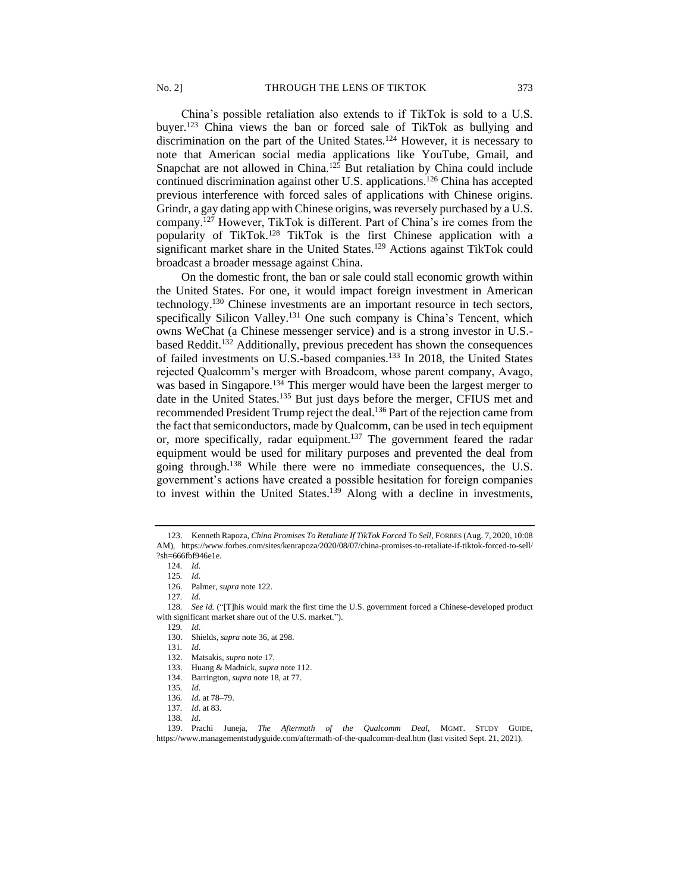China's possible retaliation also extends to if TikTok is sold to a U.S. buyer.<sup>123</sup> China views the ban or forced sale of TikTok as bullying and discrimination on the part of the United States.<sup>124</sup> However, it is necessary to note that American social media applications like YouTube, Gmail, and Snapchat are not allowed in China.<sup>125</sup> But retaliation by China could include continued discrimination against other U.S. applications.<sup>126</sup> China has accepted previous interference with forced sales of applications with Chinese origins. Grindr, a gay dating app with Chinese origins, was reversely purchased by a U.S. company.<sup>127</sup> However, TikTok is different. Part of China's ire comes from the popularity of TikTok.<sup>128</sup> TikTok is the first Chinese application with a significant market share in the United States.<sup>129</sup> Actions against TikTok could broadcast a broader message against China.

On the domestic front, the ban or sale could stall economic growth within the United States. For one, it would impact foreign investment in American technology.<sup>130</sup> Chinese investments are an important resource in tech sectors, specifically Silicon Valley.<sup>131</sup> One such company is China's Tencent, which owns WeChat (a Chinese messenger service) and is a strong investor in U.S. based Reddit.<sup>132</sup> Additionally, previous precedent has shown the consequences of failed investments on U.S.-based companies.<sup>133</sup> In 2018, the United States rejected Qualcomm's merger with Broadcom, whose parent company, Avago, was based in Singapore.<sup>134</sup> This merger would have been the largest merger to date in the United States.<sup>135</sup> But just days before the merger, CFIUS met and recommended President Trump reject the deal.<sup>136</sup> Part of the rejection came from the fact that semiconductors, made by Qualcomm, can be used in tech equipment or, more specifically, radar equipment.<sup>137</sup> The government feared the radar equipment would be used for military purposes and prevented the deal from going through.<sup>138</sup> While there were no immediate consequences, the U.S. government's actions have created a possible hesitation for foreign companies to invest within the United States.<sup>139</sup> Along with a decline in investments,

<sup>123.</sup> Kenneth Rapoza, *China Promises To Retaliate If TikTok Forced To Sell*, FORBES (Aug. 7, 2020, 10:08 AM), https://www.forbes.com/sites/kenrapoza/2020/08/07/china-promises-to-retaliate-if-tiktok-forced-to-sell/ ?sh=666fbf946e1e.

<sup>124</sup>*. Id*.

<sup>125</sup>*. Id*.

<sup>126.</sup> Palmer, *supra* note 122.

<sup>127</sup>*. Id*.

<sup>128</sup>*. See id.* ("[T]his would mark the first time the U.S. government forced a Chinese-developed product with significant market share out of the U.S. market.").

<sup>129</sup>*. Id*. 130. Shields, *supra* note 36, at 298.

<sup>131</sup>*. Id*.

<sup>132.</sup> Matsakis, *supra* note 17.

<sup>133.</sup> Huang & Madnick, *supra* note 112.

<sup>134.</sup> Barrington, *supra* note 18, at 77.

<sup>135</sup>*. Id*.

<sup>136</sup>*. Id*. at 78–79.

<sup>137</sup>*. Id*. at 83.

<sup>138</sup>*. Id*.

<sup>139.</sup> Prachi Juneja, *The Aftermath of the Qualcomm Deal*, MGMT. STUDY GUIDE, https://www.managementstudyguide.com/aftermath-of-the-qualcomm-deal.htm (last visited Sept. 21, 2021).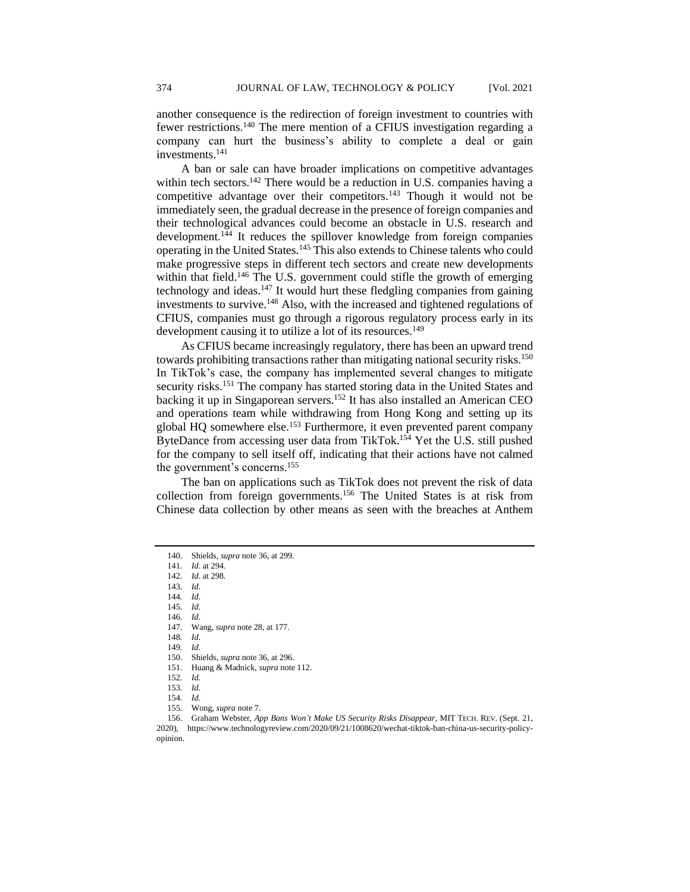another consequence is the redirection of foreign investment to countries with fewer restrictions.<sup>140</sup> The mere mention of a CFIUS investigation regarding a company can hurt the business's ability to complete a deal or gain investments.<sup>141</sup>

A ban or sale can have broader implications on competitive advantages within tech sectors.<sup>142</sup> There would be a reduction in U.S. companies having a competitive advantage over their competitors.<sup>143</sup> Though it would not be immediately seen, the gradual decrease in the presence of foreign companies and their technological advances could become an obstacle in U.S. research and development.<sup>144</sup> It reduces the spillover knowledge from foreign companies operating in the United States.<sup>145</sup> This also extends to Chinese talents who could make progressive steps in different tech sectors and create new developments within that field.<sup>146</sup> The U.S. government could stifle the growth of emerging technology and ideas.<sup>147</sup> It would hurt these fledgling companies from gaining investments to survive.<sup>148</sup> Also, with the increased and tightened regulations of CFIUS, companies must go through a rigorous regulatory process early in its development causing it to utilize a lot of its resources.<sup>149</sup>

As CFIUS became increasingly regulatory, there has been an upward trend towards prohibiting transactions rather than mitigating national security risks.<sup>150</sup> In TikTok's case, the company has implemented several changes to mitigate security risks.<sup>151</sup> The company has started storing data in the United States and backing it up in Singaporean servers.<sup>152</sup> It has also installed an American CEO and operations team while withdrawing from Hong Kong and setting up its global HQ somewhere else.<sup>153</sup> Furthermore, it even prevented parent company ByteDance from accessing user data from TikTok.<sup>154</sup> Yet the U.S. still pushed for the company to sell itself off, indicating that their actions have not calmed the government's concerns.<sup>155</sup>

The ban on applications such as TikTok does not prevent the risk of data collection from foreign governments.<sup>156</sup> The United States is at risk from Chinese data collection by other means as seen with the breaches at Anthem

145*. Id*. 146*. Id*.

147. Wang, *supra* note 28, at 177.

148*. Id*.

149*. Id*.

- 150. Shields, *supra* note 36, at 296.
- 151. Huang & Madnick, *supra* note 112.

<sup>140.</sup> Shields, *supra* note 36, at 299.

<sup>141</sup>*. Id*. at 294.

<sup>142</sup>*. Id*. at 298.

<sup>143</sup>*. Id*.

<sup>144</sup>*. Id*.

<sup>152</sup>*. Id.*

<sup>153</sup>*. Id*.

<sup>154</sup>*. Id*.

<sup>155.</sup> Wong, *supra* note 7.

<sup>156.</sup> Graham Webster, *App Bans Won't Make US Security Risks Disappear*, MIT TECH. REV. (Sept. 21, 2020), https://www.technologyreview.com/2020/09/21/1008620/wechat-tiktok-ban-china-us-security-policyopinion.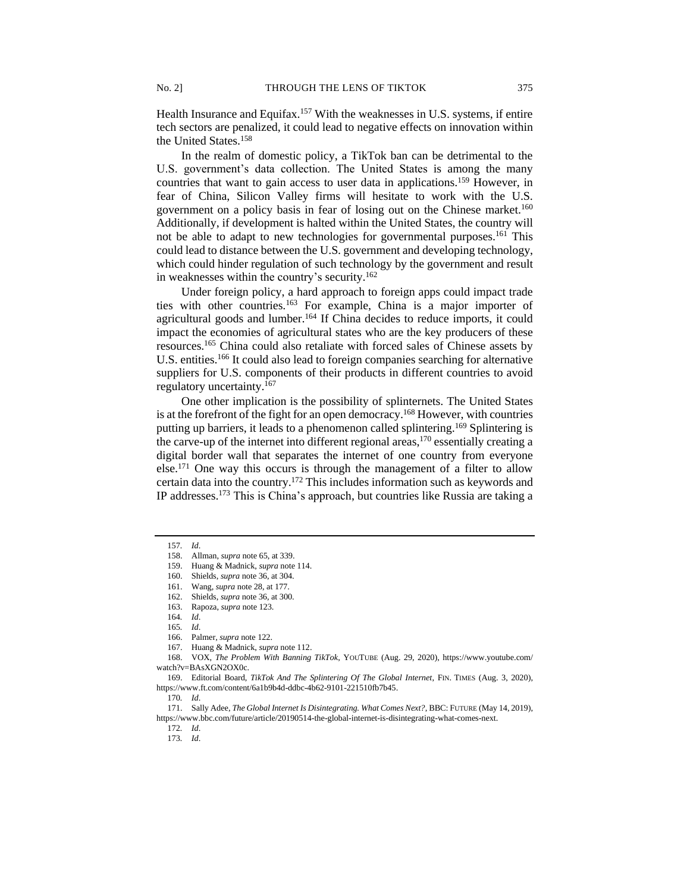Health Insurance and Equifax.<sup>157</sup> With the weaknesses in U.S. systems, if entire tech sectors are penalized, it could lead to negative effects on innovation within the United States.<sup>158</sup>

In the realm of domestic policy, a TikTok ban can be detrimental to the U.S. government's data collection. The United States is among the many countries that want to gain access to user data in applications.<sup>159</sup> However, in fear of China, Silicon Valley firms will hesitate to work with the U.S. government on a policy basis in fear of losing out on the Chinese market.<sup>160</sup> Additionally, if development is halted within the United States, the country will not be able to adapt to new technologies for governmental purposes.<sup>161</sup> This could lead to distance between the U.S. government and developing technology, which could hinder regulation of such technology by the government and result in weaknesses within the country's security.<sup>162</sup>

Under foreign policy, a hard approach to foreign apps could impact trade ties with other countries.<sup>163</sup> For example, China is a major importer of agricultural goods and lumber.<sup>164</sup> If China decides to reduce imports, it could impact the economies of agricultural states who are the key producers of these resources.<sup>165</sup> China could also retaliate with forced sales of Chinese assets by U.S. entities.<sup>166</sup> It could also lead to foreign companies searching for alternative suppliers for U.S. components of their products in different countries to avoid regulatory uncertainty.<sup>167</sup>

One other implication is the possibility of splinternets. The United States is at the forefront of the fight for an open democracy.<sup>168</sup> However, with countries putting up barriers, it leads to a phenomenon called splintering.<sup>169</sup> Splintering is the carve-up of the internet into different regional areas, <sup>170</sup> essentially creating a digital border wall that separates the internet of one country from everyone else.<sup>171</sup> One way this occurs is through the management of a filter to allow certain data into the country.<sup>172</sup> This includes information such as keywords and IP addresses.<sup>173</sup> This is China's approach, but countries like Russia are taking a

<sup>157</sup>*. Id*.

<sup>158.</sup> Allman, *supra* note 65, at 339.

<sup>159.</sup> Huang & Madnick, *supra* note 114.

<sup>160.</sup> Shields, *supra* note 36, at 304.

<sup>161.</sup> Wang, *supra* note 28, at 177.

<sup>162.</sup> Shields, *supra* note 36, at 300.

<sup>163.</sup> Rapoza, *supra* note 123.

<sup>164</sup>*. Id*.

<sup>165</sup>*. Id*.

<sup>166.</sup> Palmer, *supra* note 122.

<sup>167.</sup> Huang & Madnick, *supra* note 112.

<sup>168.</sup> VOX, *The Problem With Banning TikTok*, YOUTUBE (Aug. 29, 2020), https://www.youtube.com/ watch?v=BAsXGN2OX0c.

<sup>169.</sup> Editorial Board, *TikTok And The Splintering Of The Global Internet*, FIN. TIMES (Aug. 3, 2020), https://www.ft.com/content/6a1b9b4d-ddbc-4b62-9101-221510fb7b45.

<sup>170</sup>*. Id*.

<sup>171.</sup> Sally Adee, *The Global Internet Is Disintegrating. What Comes Next?*, BBC: FUTURE (May 14, 2019), https://www.bbc.com/future/article/20190514-the-global-internet-is-disintegrating-what-comes-next.

<sup>172</sup>*. Id*.

<sup>173</sup>*. Id*.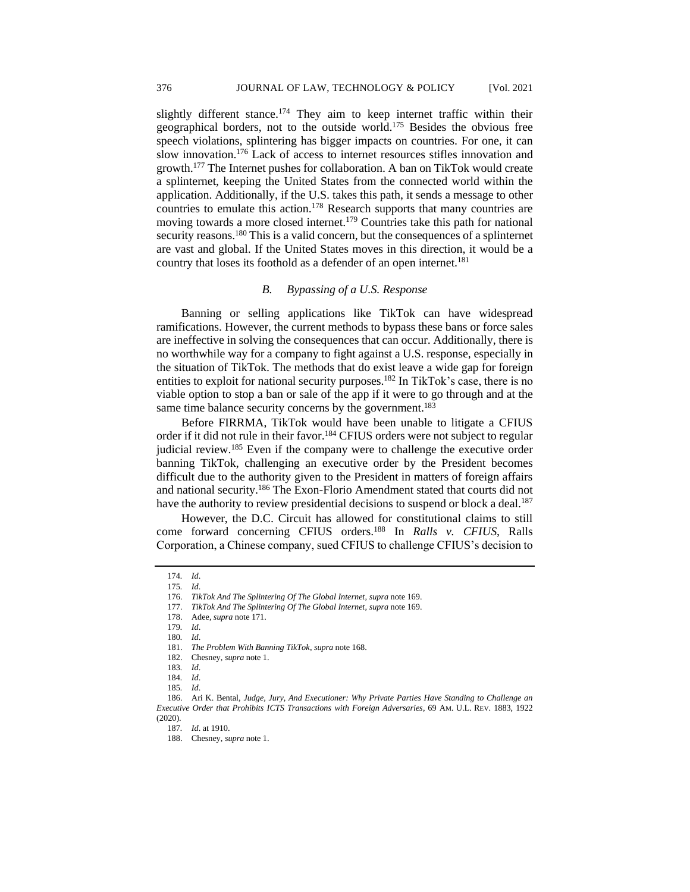slightly different stance.<sup>174</sup> They aim to keep internet traffic within their geographical borders, not to the outside world.<sup>175</sup> Besides the obvious free speech violations, splintering has bigger impacts on countries. For one, it can slow innovation.<sup>176</sup> Lack of access to internet resources stifles innovation and growth.<sup>177</sup> The Internet pushes for collaboration. A ban on TikTok would create a splinternet, keeping the United States from the connected world within the application. Additionally, if the U.S. takes this path, it sends a message to other countries to emulate this action. <sup>178</sup> Research supports that many countries are moving towards a more closed internet.<sup>179</sup> Countries take this path for national security reasons.<sup>180</sup> This is a valid concern, but the consequences of a splinternet are vast and global. If the United States moves in this direction, it would be a country that loses its foothold as a defender of an open internet.<sup>181</sup>

# *B. Bypassing of a U.S. Response*

Banning or selling applications like TikTok can have widespread ramifications. However, the current methods to bypass these bans or force sales are ineffective in solving the consequences that can occur. Additionally, there is no worthwhile way for a company to fight against a U.S. response, especially in the situation of TikTok. The methods that do exist leave a wide gap for foreign entities to exploit for national security purposes.<sup>182</sup> In TikTok's case, there is no viable option to stop a ban or sale of the app if it were to go through and at the same time balance security concerns by the government.<sup>183</sup>

Before FIRRMA, TikTok would have been unable to litigate a CFIUS order if it did not rule in their favor.<sup>184</sup> CFIUS orders were not subject to regular judicial review.<sup>185</sup> Even if the company were to challenge the executive order banning TikTok, challenging an executive order by the President becomes difficult due to the authority given to the President in matters of foreign affairs and national security.<sup>186</sup> The Exon-Florio Amendment stated that courts did not have the authority to review presidential decisions to suspend or block a deal.<sup>187</sup>

However, the D.C. Circuit has allowed for constitutional claims to still come forward concerning CFIUS orders.<sup>188</sup> In *Ralls v. CFIUS*, Ralls Corporation, a Chinese company, sued CFIUS to challenge CFIUS's decision to

<sup>174</sup>*. Id*. 175*. Id*.

<sup>176.</sup> *TikTok And The Splintering Of The Global Internet*, *supra* note 169.

<sup>177.</sup> *TikTok And The Splintering Of The Global Internet*, *supra* note 169. 178. Adee, *supra* note 171.

<sup>179</sup>*. Id*.

<sup>180</sup>*. Id*.

<sup>181.</sup> *The Problem With Banning TikTok*, *supra* note 168.

<sup>182.</sup> Chesney, *supra* note 1.

<sup>183</sup>*. Id*.

<sup>184</sup>*. Id*.

<sup>185</sup>*. Id*.

<sup>186.</sup> Ari K. Bental, *Judge, Jury, And Executioner: Why Private Parties Have Standing to Challenge an Executive Order that Prohibits ICTS Transactions with Foreign Adversaries*, 69 AM. U.L. REV. 1883, 1922 (2020).

<sup>187</sup>*. Id*. at 1910.

<sup>188.</sup> Chesney, *supra* note 1.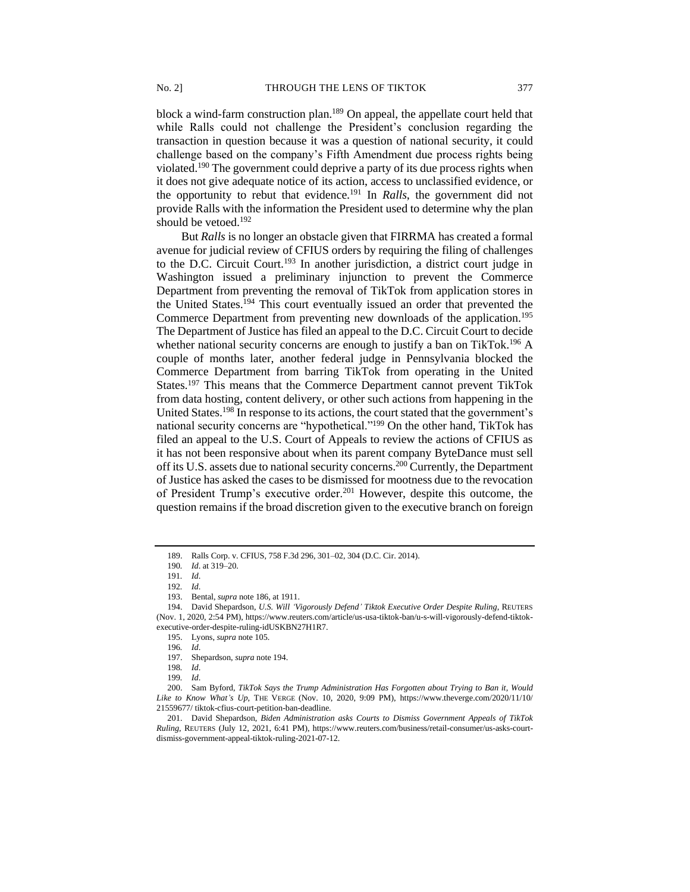block a wind-farm construction plan.<sup>189</sup> On appeal, the appellate court held that while Ralls could not challenge the President's conclusion regarding the transaction in question because it was a question of national security, it could challenge based on the company's Fifth Amendment due process rights being violated.<sup>190</sup> The government could deprive a party of its due process rights when it does not give adequate notice of its action, access to unclassified evidence, or the opportunity to rebut that evidence.<sup>191</sup> In *Ralls*, the government did not provide Ralls with the information the President used to determine why the plan

But *Ralls* is no longer an obstacle given that FIRRMA has created a formal avenue for judicial review of CFIUS orders by requiring the filing of challenges to the D.C. Circuit Court.<sup>193</sup> In another jurisdiction, a district court judge in Washington issued a preliminary injunction to prevent the Commerce Department from preventing the removal of TikTok from application stores in the United States.<sup>194</sup> This court eventually issued an order that prevented the Commerce Department from preventing new downloads of the application.<sup>195</sup> The Department of Justice has filed an appeal to the D.C. Circuit Court to decide whether national security concerns are enough to justify a ban on TikTok.<sup>196</sup> A couple of months later, another federal judge in Pennsylvania blocked the Commerce Department from barring TikTok from operating in the United States.<sup>197</sup> This means that the Commerce Department cannot prevent TikTok from data hosting, content delivery, or other such actions from happening in the United States.<sup>198</sup> In response to its actions, the court stated that the government's national security concerns are "hypothetical."<sup>199</sup> On the other hand, TikTok has filed an appeal to the U.S. Court of Appeals to review the actions of CFIUS as it has not been responsive about when its parent company ByteDance must sell off its U.S. assets due to national security concerns.<sup>200</sup> Currently, the Department of Justice has asked the cases to be dismissed for mootness due to the revocation of President Trump's executive order.<sup>201</sup> However, despite this outcome, the question remains if the broad discretion given to the executive branch on foreign

should be vetoed.<sup>192</sup>

<sup>189.</sup> Ralls Corp. v. CFIUS, 758 F.3d 296, 301–02, 304 (D.C. Cir. 2014).

<sup>190</sup>*. Id*. at 319–20.

<sup>191</sup>*. Id*.

<sup>192</sup>*. Id*.

<sup>193.</sup> Bental, *supra* note 186, at 1911.

<sup>194.</sup> David Shepardson, *U.S. Will 'Vigorously Defend' Tiktok Executive Order Despite Ruling*, REUTERS (Nov. 1, 2020, 2:54 PM), https://www.reuters.com/article/us-usa-tiktok-ban/u-s-will-vigorously-defend-tiktokexecutive-order-despite-ruling-idUSKBN27H1R7.

<sup>195.</sup> Lyons, *supra* note 105.

<sup>196</sup>*. Id*.

<sup>197.</sup> Shepardson, *supra* note 194.

<sup>198</sup>*. Id*.

<sup>199</sup>*. Id*.

<sup>200.</sup> Sam Byford, *TikTok Says the Trump Administration Has Forgotten about Trying to Ban it, Would Like to Know What's Up*, THE VERGE (Nov. 10, 2020, 9:09 PM), https://www.theverge.com/2020/11/10/ 21559677/ tiktok-cfius-court-petition-ban-deadline.

<sup>201.</sup> David Shepardson, *Biden Administration asks Courts to Dismiss Government Appeals of TikTok Ruling*, REUTERS (July 12, 2021, 6:41 PM), https://www.reuters.com/business/retail-consumer/us-asks-courtdismiss-government-appeal-tiktok-ruling-2021-07-12.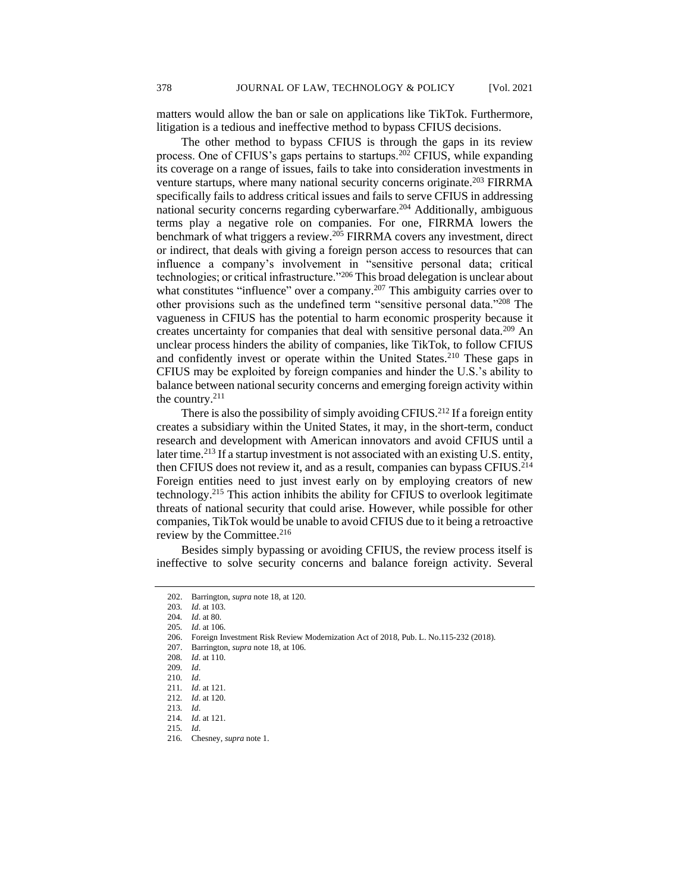matters would allow the ban or sale on applications like TikTok. Furthermore, litigation is a tedious and ineffective method to bypass CFIUS decisions.

The other method to bypass CFIUS is through the gaps in its review process. One of CFIUS's gaps pertains to startups.<sup>202</sup> CFIUS, while expanding its coverage on a range of issues, fails to take into consideration investments in venture startups, where many national security concerns originate.<sup>203</sup> FIRRMA specifically fails to address critical issues and fails to serve CFIUS in addressing national security concerns regarding cyberwarfare.<sup>204</sup> Additionally, ambiguous terms play a negative role on companies. For one, FIRRMA lowers the benchmark of what triggers a review.<sup>205</sup> FIRRMA covers any investment, direct or indirect, that deals with giving a foreign person access to resources that can influence a company's involvement in "sensitive personal data; critical technologies; or critical infrastructure."<sup>206</sup> This broad delegation is unclear about what constitutes "influence" over a company.<sup>207</sup> This ambiguity carries over to other provisions such as the undefined term "sensitive personal data."<sup>208</sup> The vagueness in CFIUS has the potential to harm economic prosperity because it creates uncertainty for companies that deal with sensitive personal data.<sup>209</sup> An unclear process hinders the ability of companies, like TikTok, to follow CFIUS and confidently invest or operate within the United States.<sup>210</sup> These gaps in CFIUS may be exploited by foreign companies and hinder the U.S.'s ability to balance between national security concerns and emerging foreign activity within the country.<sup>211</sup>

There is also the possibility of simply avoiding CFIUS.<sup>212</sup> If a foreign entity creates a subsidiary within the United States, it may, in the short-term, conduct research and development with American innovators and avoid CFIUS until a later time.<sup>213</sup> If a startup investment is not associated with an existing U.S. entity, then CFIUS does not review it, and as a result, companies can bypass CFIUS.<sup>214</sup> Foreign entities need to just invest early on by employing creators of new technology.<sup>215</sup> This action inhibits the ability for CFIUS to overlook legitimate threats of national security that could arise. However, while possible for other companies, TikTok would be unable to avoid CFIUS due to it being a retroactive review by the Committee.<sup>216</sup>

Besides simply bypassing or avoiding CFIUS, the review process itself is ineffective to solve security concerns and balance foreign activity. Several

206. Foreign Investment Risk Review Modernization Act of 2018, Pub. L. No.115-232 (2018).

<sup>202.</sup> Barrington, *supra* note 18, at 120.

<sup>203</sup>*. Id*. at 103.

<sup>204</sup>*. Id*. at 80.

<sup>205</sup>*. Id*. at 106.

<sup>207.</sup> Barrington, *supra* note 18, at 106.

<sup>208</sup>*. Id*. at 110.

<sup>209</sup>*. Id*.

<sup>210</sup>*. Id*.

<sup>211</sup>*. Id*. at 121.

<sup>212</sup>*. Id*. at 120. 213*. Id*.

<sup>214</sup>*. Id*. at 121.

<sup>215</sup>*. Id*.

<sup>216</sup>*.* Chesney, *supra* note 1.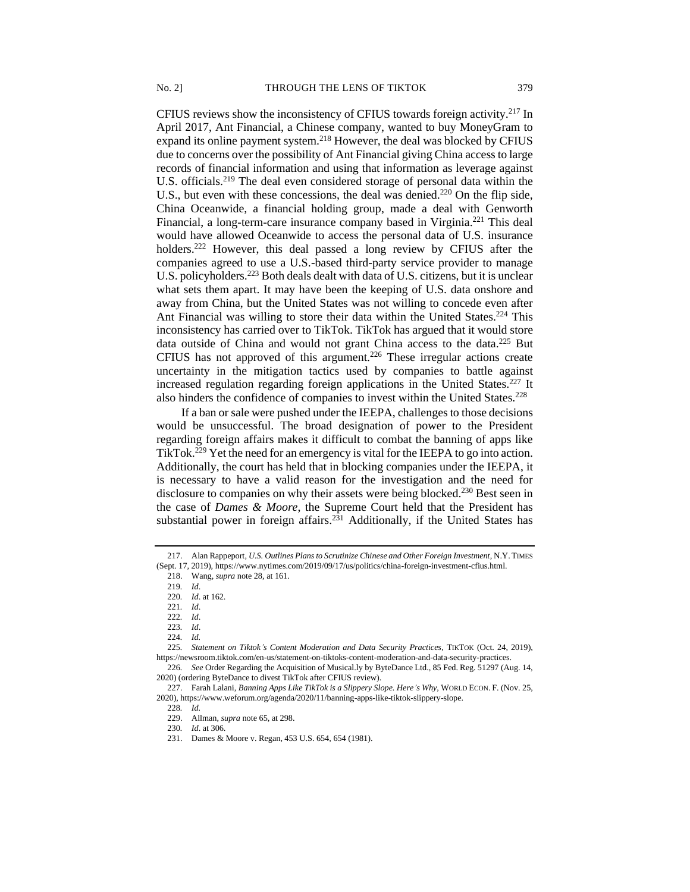CFIUS reviews show the inconsistency of CFIUS towards foreign activity.<sup>217</sup> In April 2017, Ant Financial, a Chinese company, wanted to buy MoneyGram to expand its online payment system.<sup>218</sup> However, the deal was blocked by CFIUS due to concerns over the possibility of Ant Financial giving China access to large records of financial information and using that information as leverage against U.S. officials.<sup>219</sup> The deal even considered storage of personal data within the U.S., but even with these concessions, the deal was denied.<sup>220</sup> On the flip side, China Oceanwide, a financial holding group, made a deal with Genworth Financial, a long-term-care insurance company based in Virginia.<sup>221</sup> This deal would have allowed Oceanwide to access the personal data of U.S. insurance holders.<sup>222</sup> However, this deal passed a long review by CFIUS after the companies agreed to use a U.S.-based third-party service provider to manage U.S. policyholders.<sup>223</sup> Both deals dealt with data of U.S. citizens, but it is unclear what sets them apart. It may have been the keeping of U.S. data onshore and away from China, but the United States was not willing to concede even after Ant Financial was willing to store their data within the United States.<sup>224</sup> This inconsistency has carried over to TikTok. TikTok has argued that it would store data outside of China and would not grant China access to the data.<sup>225</sup> But CFIUS has not approved of this argument.<sup>226</sup> These irregular actions create uncertainty in the mitigation tactics used by companies to battle against increased regulation regarding foreign applications in the United States.<sup>227</sup> It also hinders the confidence of companies to invest within the United States.<sup>228</sup>

If a ban or sale were pushed under the IEEPA, challenges to those decisions would be unsuccessful. The broad designation of power to the President regarding foreign affairs makes it difficult to combat the banning of apps like TikTok.<sup>229</sup> Yet the need for an emergency is vital for the IEEPA to go into action. Additionally, the court has held that in blocking companies under the IEEPA, it is necessary to have a valid reason for the investigation and the need for disclosure to companies on why their assets were being blocked.<sup>230</sup> Best seen in the case of *Dames & Moore*, the Supreme Court held that the President has substantial power in foreign affairs.<sup>231</sup> Additionally, if the United States has

<sup>217.</sup> Alan Rappeport, *U.S. Outlines Plans to Scrutinize Chinese and Other Foreign Investment*, N.Y. TIMES (Sept. 17, 2019), https://www.nytimes.com/2019/09/17/us/politics/china-foreign-investment-cfius.html.

<sup>218.</sup> Wang, *supra* note 28, at 161.

<sup>219</sup>*. Id*.

<sup>220</sup>*. Id*. at 162.

<sup>221</sup>*. Id*.

<sup>222</sup>*. Id*.

<sup>223</sup>*. Id*.

<sup>224</sup>*. Id.*

<sup>225</sup>*. Statement on Tiktok's Content Moderation and Data Security Practices*, TIKTOK (Oct. 24, 2019), https://newsroom.tiktok.com/en-us/statement-on-tiktoks-content-moderation-and-data-security-practices.

<sup>226</sup>*. See* Order Regarding the Acquisition of Musical.ly by ByteDance Ltd., 85 Fed. Reg. 51297 (Aug. 14, 2020) (ordering ByteDance to divest TikTok after CFIUS review).

<sup>227.</sup> Farah Lalani, *Banning Apps Like TikTok is a Slippery Slope. Here's Why*, WORLD ECON. F. (Nov. 25, 2020), https://www.weforum.org/agenda/2020/11/banning-apps-like-tiktok-slippery-slope.

<sup>228</sup>*. Id.* 229. Allman, *supra* note 65, at 298.

<sup>230</sup>*. Id*. at 306.

<sup>231.</sup> Dames & Moore v. Regan, 453 U.S. 654, 654 (1981).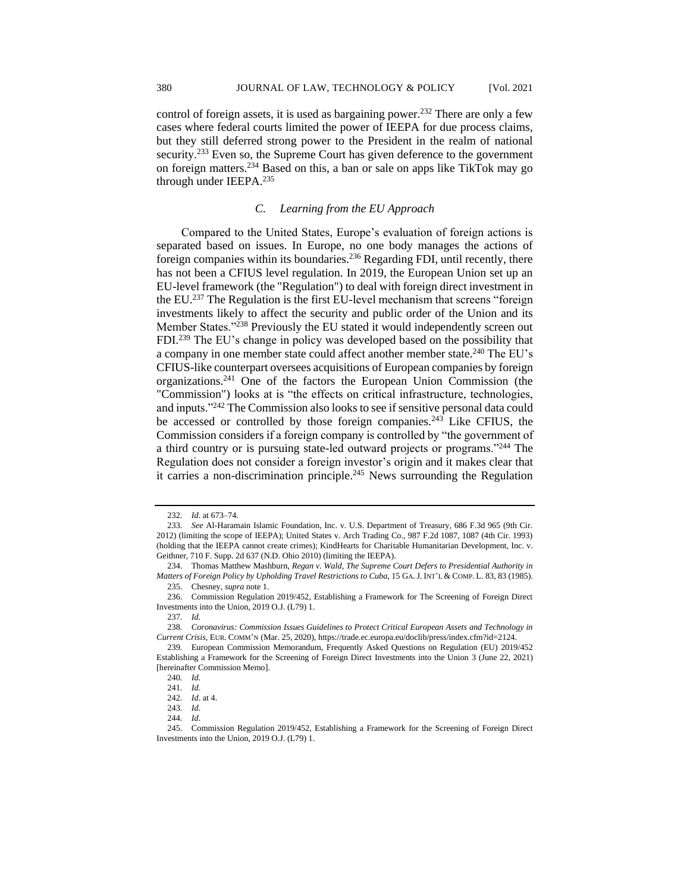control of foreign assets, it is used as bargaining power.<sup>232</sup> There are only a few cases where federal courts limited the power of IEEPA for due process claims, but they still deferred strong power to the President in the realm of national security.<sup>233</sup> Even so, the Supreme Court has given deference to the government on foreign matters.<sup>234</sup> Based on this, a ban or sale on apps like TikTok may go through under IEEPA.<sup>235</sup>

# *C. Learning from the EU Approach*

Compared to the United States, Europe's evaluation of foreign actions is separated based on issues. In Europe, no one body manages the actions of foreign companies within its boundaries.<sup>236</sup> Regarding FDI, until recently, there has not been a CFIUS level regulation. In 2019, the European Union set up an EU-level framework (the "Regulation") to deal with foreign direct investment in the EU.<sup>237</sup> The Regulation is the first EU-level mechanism that screens "foreign investments likely to affect the security and public order of the Union and its Member States."<sup>238</sup> Previously the EU stated it would independently screen out FDI.<sup>239</sup> The EU's change in policy was developed based on the possibility that a company in one member state could affect another member state.<sup>240</sup> The EU's CFIUS-like counterpart oversees acquisitions of European companies by foreign organizations.<sup>241</sup> One of the factors the European Union Commission (the "Commission") looks at is "the effects on critical infrastructure, technologies, and inputs."<sup>242</sup> The Commission also looks to see if sensitive personal data could be accessed or controlled by those foreign companies.<sup>243</sup> Like CFIUS, the Commission considers if a foreign company is controlled by "the government of a third country or is pursuing state-led outward projects or programs."<sup>244</sup> The Regulation does not consider a foreign investor's origin and it makes clear that it carries a non-discrimination principle.<sup>245</sup> News surrounding the Regulation

<sup>232</sup>*. Id*. at 673–74.

<sup>233</sup>*. See* Al-Haramain Islamic Foundation, Inc. v. U.S. Department of Treasury, 686 F.3d 965 (9th Cir. 2012) (limiting the scope of IEEPA); United States v. Arch Trading Co., 987 F.2d 1087, 1087 (4th Cir. 1993) (holding that the IEEPA cannot create crimes); KindHearts for Charitable Humanitarian Development, Inc. v. Geithner, 710 F. Supp. 2d 637 (N.D. Ohio 2010) (limiting the IEEPA).

<sup>234.</sup> Thomas Matthew Mashburn, *Regan v. Wald, The Supreme Court Defers to Presidential Authority in Matters of Foreign Policy by Upholding Travel Restrictions to Cuba*, 15 GA.J. INT'L & COMP. L. 83, 83 (1985). 235. Chesney, *supra* note 1.

<sup>236.</sup> Commission Regulation 2019/452, Establishing a Framework for The Screening of Foreign Direct Investments into the Union, 2019 O.J. (L79) 1.

<sup>237</sup>*. Id.*

<sup>238</sup>*. Coronavirus: Commission Issues Guidelines to Protect Critical European Assets and Technology in Current Crisis*, EUR. COMM'N (Mar. 25, 2020), https://trade.ec.europa.eu/doclib/press/index.cfm?id=2124.

<sup>239</sup>*.* European Commission Memorandum, Frequently Asked Questions on Regulation (EU) 2019/452 Establishing a Framework for the Screening of Foreign Direct Investments into the Union 3 (June 22, 2021) [hereinafter Commission Memo].

<sup>240</sup>*. Id.*

<sup>241</sup>*. Id*. 242*. Id*. at 4.

<sup>243</sup>*. Id*.

<sup>244</sup>*. Id*.

<sup>245.</sup> Commission Regulation 2019/452, Establishing a Framework for the Screening of Foreign Direct Investments into the Union, 2019 O.J. (L79) 1.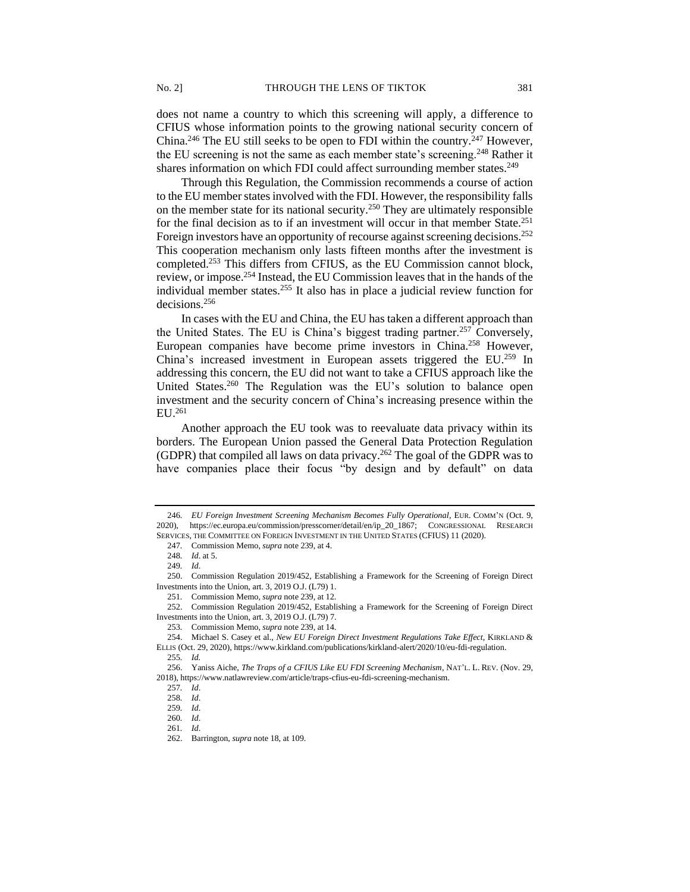does not name a country to which this screening will apply, a difference to CFIUS whose information points to the growing national security concern of China.<sup>246</sup> The EU still seeks to be open to FDI within the country.<sup>247</sup> However, the EU screening is not the same as each member state's screening.<sup>248</sup> Rather it shares information on which FDI could affect surrounding member states.<sup>249</sup>

Through this Regulation, the Commission recommends a course of action to the EU member states involved with the FDI. However, the responsibility falls on the member state for its national security.<sup>250</sup> They are ultimately responsible for the final decision as to if an investment will occur in that member State.<sup>251</sup> Foreign investors have an opportunity of recourse against screening decisions.<sup>252</sup> This cooperation mechanism only lasts fifteen months after the investment is completed.<sup>253</sup> This differs from CFIUS, as the EU Commission cannot block, review, or impose.<sup>254</sup> Instead, the EU Commission leaves that in the hands of the individual member states.<sup>255</sup> It also has in place a judicial review function for decisions.<sup>256</sup>

In cases with the EU and China, the EU has taken a different approach than the United States. The EU is China's biggest trading partner.<sup>257</sup> Conversely, European companies have become prime investors in China.<sup>258</sup> However, China's increased investment in European assets triggered the EU.<sup>259</sup> In addressing this concern, the EU did not want to take a CFIUS approach like the United States.<sup>260</sup> The Regulation was the EU's solution to balance open investment and the security concern of China's increasing presence within the  $EI$   $I$ <sub>261</sub>

Another approach the EU took was to reevaluate data privacy within its borders. The European Union passed the General Data Protection Regulation (GDPR) that compiled all laws on data privacy.<sup>262</sup> The goal of the GDPR was to have companies place their focus "by design and by default" on data

<sup>246</sup>*. EU Foreign Investment Screening Mechanism Becomes Fully Operational*, EUR. COMM'N (Oct. 9, 2020), https://ec.europa.eu/commission/presscorner/detail/en/ip\_20\_1867; CONGRESSIONAL RESEARCH SERVICES, THE COMMITTEE ON FOREIGN INVESTMENT IN THE UNITED STATES (CFIUS) 11 (2020).

<sup>247</sup>*.* Commission Memo, *supra* note 239, at 4.

<sup>248</sup>*. Id*. at 5.

<sup>249</sup>*. Id*.

<sup>250.</sup> Commission Regulation 2019/452, Establishing a Framework for the Screening of Foreign Direct Investments into the Union, art. 3, 2019 O.J. (L79) 1.

<sup>251</sup>*.* Commission Memo, *supra* note 239, at 12.

<sup>252.</sup> Commission Regulation 2019/452, Establishing a Framework for the Screening of Foreign Direct Investments into the Union, art. 3, 2019 O.J. (L79) 7.

<sup>253</sup>*.* Commission Memo, *supra* note 239, at 14.

<sup>254.</sup> Michael S. Casey et al., *New EU Foreign Direct Investment Regulations Take Effect*, KIRKLAND & ELLIS (Oct. 29, 2020), https://www.kirkland.com/publications/kirkland-alert/2020/10/eu-fdi-regulation. 255*. Id.*

<sup>256.</sup> Yaniss Aiche, *The Traps of a CFIUS Like EU FDI Screening Mechanism*, NAT'L. L. REV. (Nov. 29, 2018), https://www.natlawreview.com/article/traps-cfius-eu-fdi-screening-mechanism.

<sup>257</sup>*. Id*.

<sup>258</sup>*. Id*.

<sup>259</sup>*. Id*.

<sup>260</sup>*. Id*.

<sup>261</sup>*. Id*.

<sup>262.</sup> Barrington, *supra* note 18, at 109.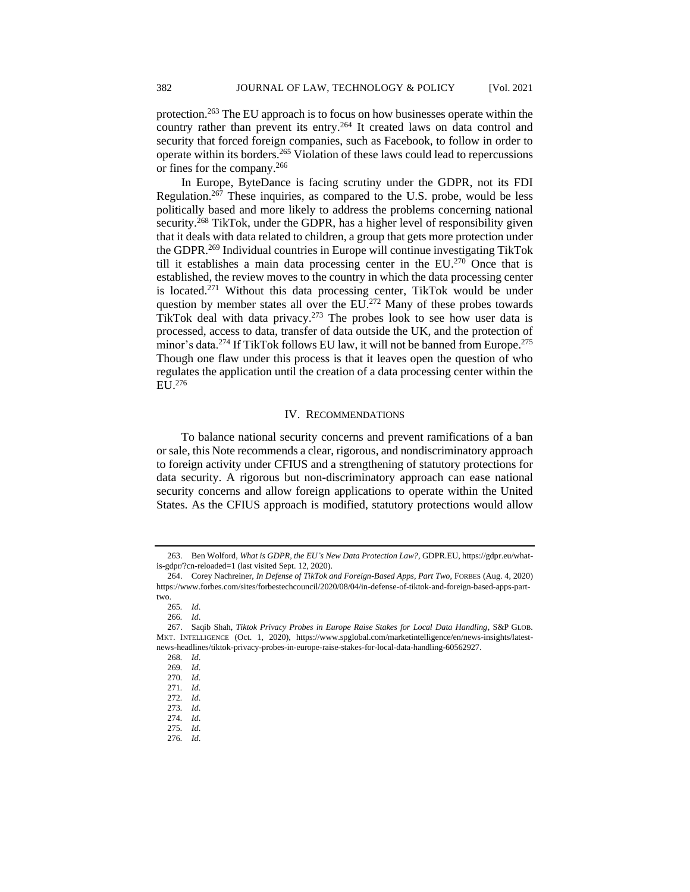protection.<sup>263</sup> The EU approach is to focus on how businesses operate within the country rather than prevent its entry.<sup>264</sup> It created laws on data control and security that forced foreign companies, such as Facebook, to follow in order to operate within its borders.<sup>265</sup> Violation of these laws could lead to repercussions or fines for the company.<sup>266</sup>

In Europe, ByteDance is facing scrutiny under the GDPR, not its FDI Regulation.<sup>267</sup> These inquiries, as compared to the U.S. probe, would be less politically based and more likely to address the problems concerning national security.<sup>268</sup> TikTok, under the GDPR, has a higher level of responsibility given that it deals with data related to children, a group that gets more protection under the GDPR.<sup>269</sup> Individual countries in Europe will continue investigating TikTok till it establishes a main data processing center in the  $EU^{270}$  Once that is established, the review moves to the country in which the data processing center is located.<sup>271</sup> Without this data processing center, TikTok would be under question by member states all over the  $EU^{272}$  Many of these probes towards TikTok deal with data privacy.<sup>273</sup> The probes look to see how user data is processed, access to data, transfer of data outside the UK, and the protection of minor's data.<sup>274</sup> If TikTok follows EU law, it will not be banned from Europe.<sup>275</sup> Though one flaw under this process is that it leaves open the question of who regulates the application until the creation of a data processing center within the EU. 276

## IV. RECOMMENDATIONS

To balance national security concerns and prevent ramifications of a ban or sale, this Note recommends a clear, rigorous, and nondiscriminatory approach to foreign activity under CFIUS and a strengthening of statutory protections for data security. A rigorous but non-discriminatory approach can ease national security concerns and allow foreign applications to operate within the United States. As the CFIUS approach is modified, statutory protections would allow

266*. Id*.

268*. Id*.

<sup>263.</sup> Ben Wolford, *What is GDPR, the EU's New Data Protection Law?*, GDPR.EU, https://gdpr.eu/whatis-gdpr/?cn-reloaded=1 (last visited Sept. 12, 2020).

<sup>264.</sup> Corey Nachreiner, *In Defense of TikTok and Foreign-Based Apps, Part Two*, FORBES (Aug. 4, 2020) https://www.forbes.com/sites/forbestechcouncil/2020/08/04/in-defense-of-tiktok-and-foreign-based-apps-parttwo.

<sup>265</sup>*. Id*.

<sup>267.</sup> Saqib Shah, *Tiktok Privacy Probes in Europe Raise Stakes for Local Data Handling*, S&P GLOB. MKT. INTELLIGENCE (Oct. 1, 2020), https://www.spglobal.com/marketintelligence/en/news-insights/latestnews-headlines/tiktok-privacy-probes-in-europe-raise-stakes-for-local-data-handling-60562927.

<sup>269</sup>*. Id*.

<sup>270</sup>*. Id*.

<sup>271</sup>*. Id*.

<sup>272</sup>*. Id*.

<sup>273</sup>*. Id*.

<sup>274</sup>*. Id*.

<sup>275</sup>*. Id*.

<sup>276</sup>*. Id*.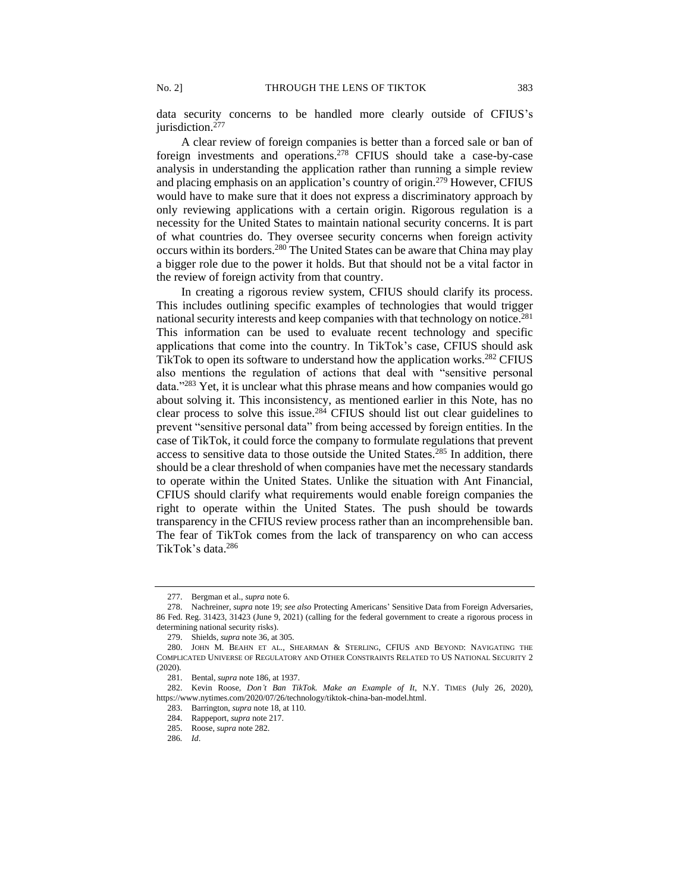data security concerns to be handled more clearly outside of CFIUS's jurisdiction. 277

A clear review of foreign companies is better than a forced sale or ban of foreign investments and operations.<sup>278</sup> CFIUS should take a case-by-case analysis in understanding the application rather than running a simple review and placing emphasis on an application's country of origin.<sup>279</sup> However, CFIUS would have to make sure that it does not express a discriminatory approach by only reviewing applications with a certain origin. Rigorous regulation is a necessity for the United States to maintain national security concerns. It is part of what countries do. They oversee security concerns when foreign activity occurs within its borders.<sup>280</sup> The United States can be aware that China may play a bigger role due to the power it holds. But that should not be a vital factor in the review of foreign activity from that country.

In creating a rigorous review system, CFIUS should clarify its process. This includes outlining specific examples of technologies that would trigger national security interests and keep companies with that technology on notice.<sup>281</sup> This information can be used to evaluate recent technology and specific applications that come into the country. In TikTok's case, CFIUS should ask TikTok to open its software to understand how the application works.<sup>282</sup> CFIUS also mentions the regulation of actions that deal with "sensitive personal data."<sup>283</sup> Yet, it is unclear what this phrase means and how companies would go about solving it. This inconsistency, as mentioned earlier in this Note, has no clear process to solve this issue.<sup>284</sup> CFIUS should list out clear guidelines to prevent "sensitive personal data" from being accessed by foreign entities. In the case of TikTok, it could force the company to formulate regulations that prevent access to sensitive data to those outside the United States. <sup>285</sup> In addition, there should be a clear threshold of when companies have met the necessary standards to operate within the United States. Unlike the situation with Ant Financial, CFIUS should clarify what requirements would enable foreign companies the right to operate within the United States. The push should be towards transparency in the CFIUS review process rather than an incomprehensible ban. The fear of TikTok comes from the lack of transparency on who can access TikTok's data.<sup>286</sup>

<sup>277.</sup> Bergman et al., *supra* note 6.

<sup>278.</sup> Nachreiner*, supra* note 19; *see also* Protecting Americans' Sensitive Data from Foreign Adversaries, 86 Fed. Reg. 31423, 31423 (June 9, 2021) (calling for the federal government to create a rigorous process in determining national security risks).

<sup>279.</sup> Shields, *supra* note 36, at 305.

<sup>280.</sup> JOHN M. BEAHN ET AL., SHEARMAN & STERLING, CFIUS AND BEYOND: NAVIGATING THE COMPLICATED UNIVERSE OF REGULATORY AND OTHER CONSTRAINTS RELATED TO US NATIONAL SECURITY 2 (2020).

<sup>281.</sup> Bental, *supra* note 186, at 1937.

<sup>282.</sup> Kevin Roose, *Don't Ban TikTok. Make an Example of It*, N.Y. TIMES (July 26, 2020), https://www.nytimes.com/2020/07/26/technology/tiktok-china-ban-model.html.

<sup>283.</sup> Barrington, *supra* note 18, at 110.

<sup>284.</sup> Rappeport, *supra* note 217.

<sup>285.</sup> Roose, *supra* note 282.

<sup>286</sup>*. Id*.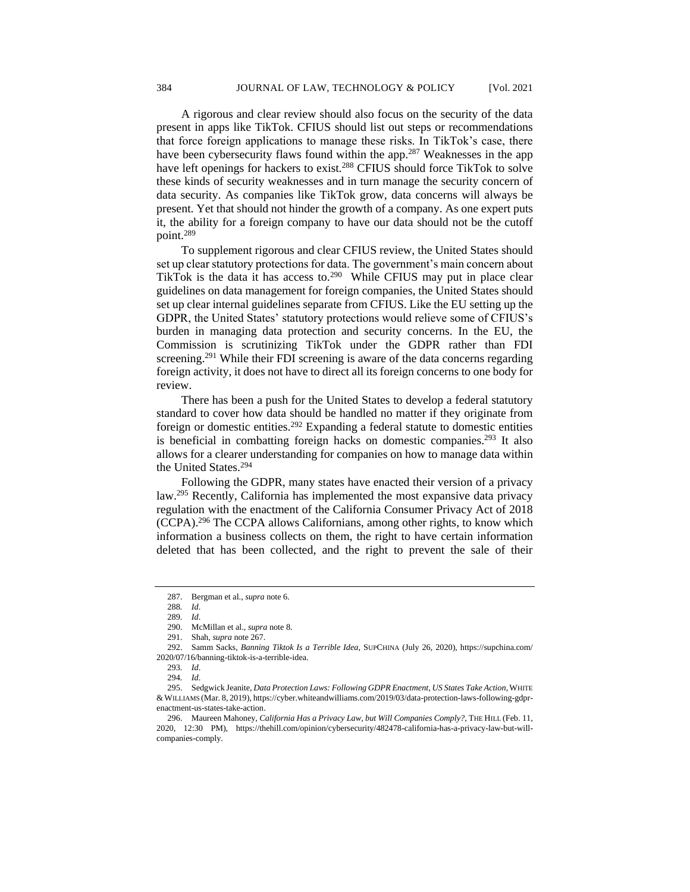A rigorous and clear review should also focus on the security of the data present in apps like TikTok. CFIUS should list out steps or recommendations that force foreign applications to manage these risks. In TikTok's case, there have been cybersecurity flaws found within the app.<sup>287</sup> Weaknesses in the app have left openings for hackers to exist.<sup>288</sup> CFIUS should force TikTok to solve these kinds of security weaknesses and in turn manage the security concern of data security. As companies like TikTok grow, data concerns will always be present. Yet that should not hinder the growth of a company. As one expert puts it, the ability for a foreign company to have our data should not be the cutoff point.<sup>289</sup>

To supplement rigorous and clear CFIUS review, the United States should set up clear statutory protections for data. The government's main concern about TikTok is the data it has access to. $290$  While CFIUS may put in place clear guidelines on data management for foreign companies, the United States should set up clear internal guidelines separate from CFIUS. Like the EU setting up the GDPR, the United States' statutory protections would relieve some of CFIUS's burden in managing data protection and security concerns. In the EU, the Commission is scrutinizing TikTok under the GDPR rather than FDI screening.<sup>291</sup> While their FDI screening is aware of the data concerns regarding foreign activity, it does not have to direct all its foreign concerns to one body for review.

There has been a push for the United States to develop a federal statutory standard to cover how data should be handled no matter if they originate from foreign or domestic entities.<sup>292</sup> Expanding a federal statute to domestic entities is beneficial in combatting foreign hacks on domestic companies.<sup>293</sup> It also allows for a clearer understanding for companies on how to manage data within the United States.<sup>294</sup>

Following the GDPR, many states have enacted their version of a privacy law.<sup>295</sup> Recently, California has implemented the most expansive data privacy regulation with the enactment of the California Consumer Privacy Act of 2018 (CCPA).<sup>296</sup> The CCPA allows Californians, among other rights, to know which information a business collects on them, the right to have certain information deleted that has been collected, and the right to prevent the sale of their

<sup>287.</sup> Bergman et al., *supra* note 6.

<sup>288</sup>*. Id*.

<sup>289</sup>*. Id*.

<sup>290.</sup> McMillan et al., *supra* note 8.

<sup>291.</sup> Shah, *supra* note 267.

<sup>292.</sup> Samm Sacks, *Banning Tiktok Is a Terrible Idea*, SUPCHINA (July 26, 2020), https://supchina.com/ 2020/07/16/banning-tiktok-is-a-terrible-idea.

<sup>293</sup>*. Id*.

<sup>294</sup>*. Id*.

<sup>295.</sup> Sedgwick Jeanite, *Data Protection Laws: Following GDPR Enactment, US States Take Action*,WHITE &WILLIAMS (Mar. 8, 2019), https://cyber.whiteandwilliams.com/2019/03/data-protection-laws-following-gdprenactment-us-states-take-action.

<sup>296.</sup> Maureen Mahoney, *California Has a Privacy Law, but Will Companies Comply?*, THE HILL (Feb. 11, 2020, 12:30 PM), https://thehill.com/opinion/cybersecurity/482478-california-has-a-privacy-law-but-willcompanies-comply.